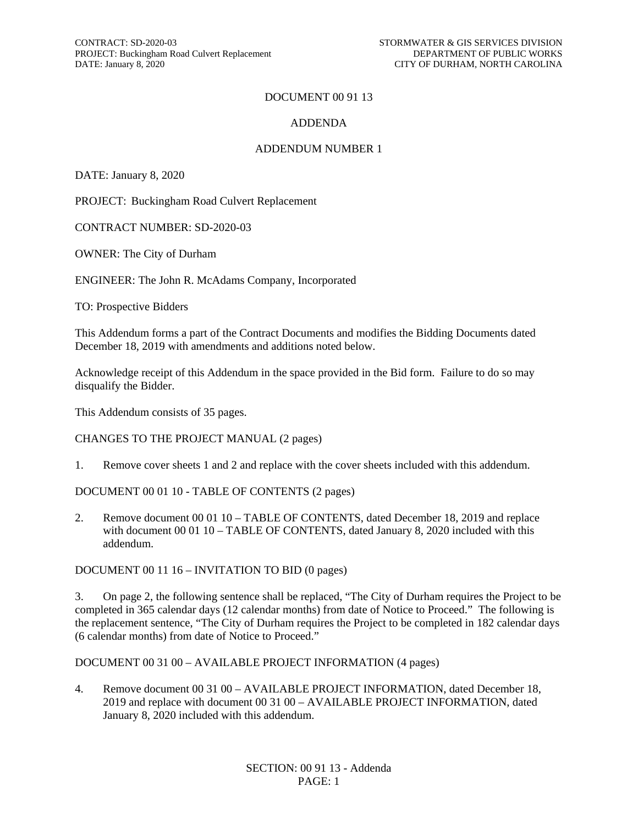#### DOCUMENT 00 91 13

#### ADDENDA

#### ADDENDUM NUMBER 1

DATE: January 8, 2020

PROJECT: Buckingham Road Culvert Replacement

CONTRACT NUMBER: SD-2020-03

OWNER: The City of Durham

ENGINEER: The John R. McAdams Company, Incorporated

TO: Prospective Bidders

This Addendum forms a part of the Contract Documents and modifies the Bidding Documents dated December 18, 2019 with amendments and additions noted below.

Acknowledge receipt of this Addendum in the space provided in the Bid form. Failure to do so may disqualify the Bidder.

This Addendum consists of 35 pages.

CHANGES TO THE PROJECT MANUAL (2 pages)

1. Remove cover sheets 1 and 2 and replace with the cover sheets included with this addendum.

DOCUMENT 00 01 10 - TABLE OF CONTENTS (2 pages)

2. Remove document 00 01 10 – TABLE OF CONTENTS, dated December 18, 2019 and replace with document 00 01 10 – TABLE OF CONTENTS, dated January 8, 2020 included with this addendum.

DOCUMENT 00 11 16 – INVITATION TO BID (0 pages)

3. On page 2, the following sentence shall be replaced, "The City of Durham requires the Project to be completed in 365 calendar days (12 calendar months) from date of Notice to Proceed." The following is the replacement sentence, "The City of Durham requires the Project to be completed in 182 calendar days (6 calendar months) from date of Notice to Proceed."

#### DOCUMENT 00 31 00 – AVAILABLE PROJECT INFORMATION (4 pages)

4. Remove document 00 31 00 – AVAILABLE PROJECT INFORMATION, dated December 18, 2019 and replace with document 00 31 00 – AVAILABLE PROJECT INFORMATION, dated January 8, 2020 included with this addendum.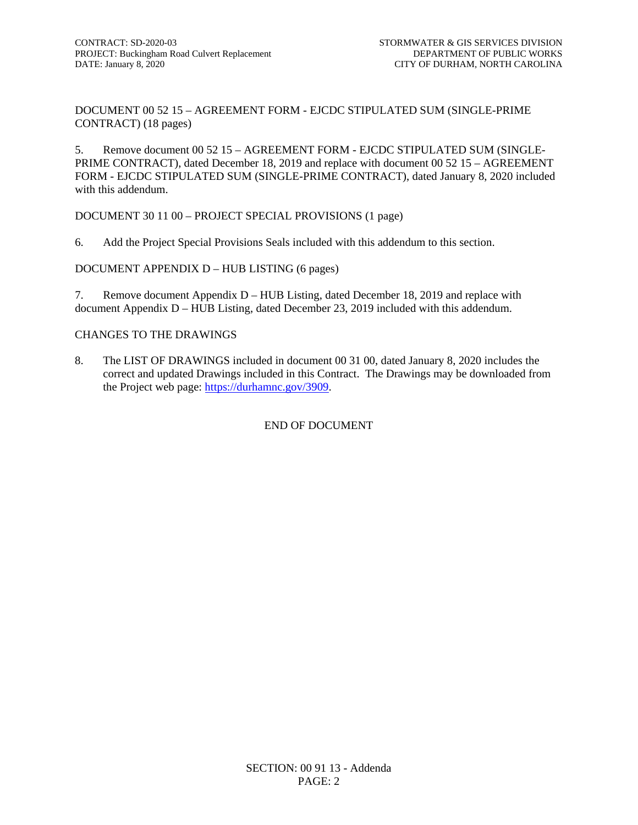DOCUMENT 00 52 15 – AGREEMENT FORM - EJCDC STIPULATED SUM (SINGLE-PRIME CONTRACT) (18 pages)

5. Remove document 00 52 15 – AGREEMENT FORM - EJCDC STIPULATED SUM (SINGLE-PRIME CONTRACT), dated December 18, 2019 and replace with document 00 52 15 – AGREEMENT FORM - EJCDC STIPULATED SUM (SINGLE-PRIME CONTRACT), dated January 8, 2020 included with this addendum.

DOCUMENT 30 11 00 – PROJECT SPECIAL PROVISIONS (1 page)

6. Add the Project Special Provisions Seals included with this addendum to this section.

DOCUMENT APPENDIX D – HUB LISTING (6 pages)

7. Remove document Appendix D – HUB Listing, dated December 18, 2019 and replace with document Appendix D – HUB Listing, dated December 23, 2019 included with this addendum.

#### CHANGES TO THE DRAWINGS

8. The LIST OF DRAWINGS included in document 00 31 00, dated January 8, 2020 includes the correct and updated Drawings included in this Contract. The Drawings may be downloaded from the Project web page: [https://durhamnc.gov/3909.](https://durhamnc.gov/3909)

#### END OF DOCUMENT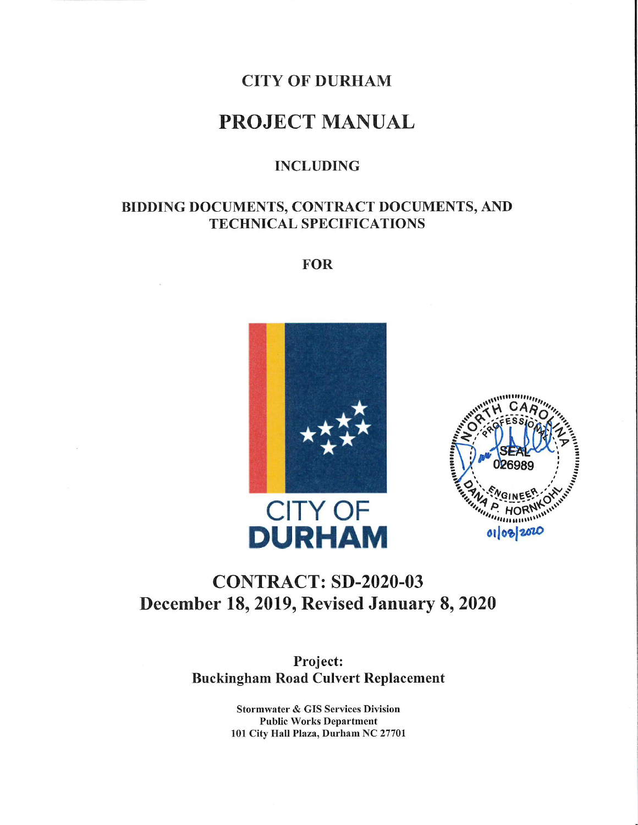## **CITY OF DURHAM**

# **PROJECT MANUAL**

## **INCLUDING**

## BIDDING DOCUMENTS, CONTRACT DOCUMENTS, AND **TECHNICAL SPECIFICATIONS**

**FOR** 





# **CONTRACT: SD-2020-03** December 18, 2019, Revised January 8, 2020

Project: **Buckingham Road Culvert Replacement** 

> **Stormwater & GIS Services Division Public Works Department** 101 City Hall Plaza, Durham NC 27701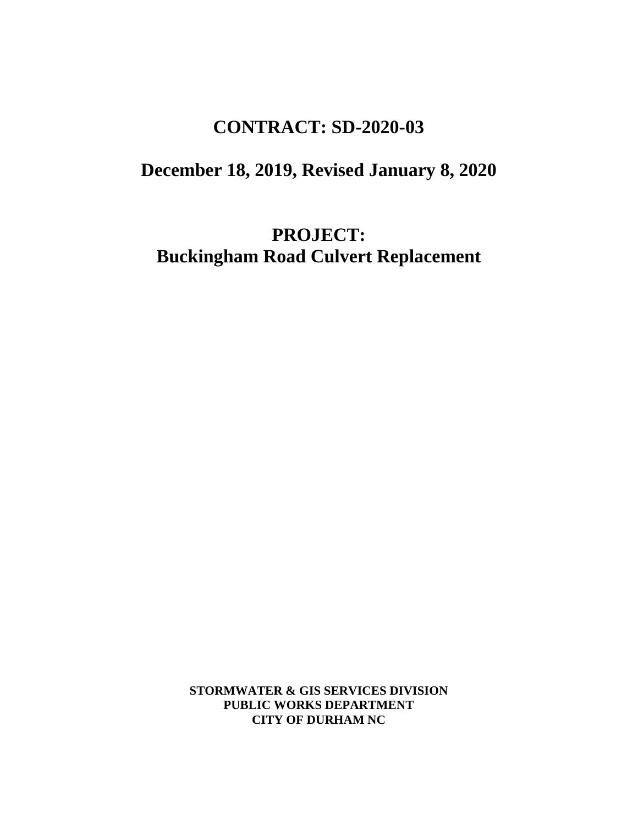# **CONTRACT: SD-2020-03**

# **December 18, 2019, Revised January 8, 2020**

**PROJECT: Buckingham Road Culvert Replacement**

> **STORMWATER & GIS SERVICES DIVISION PUBLIC WORKS DEPARTMENT CITY OF DURHAM NC**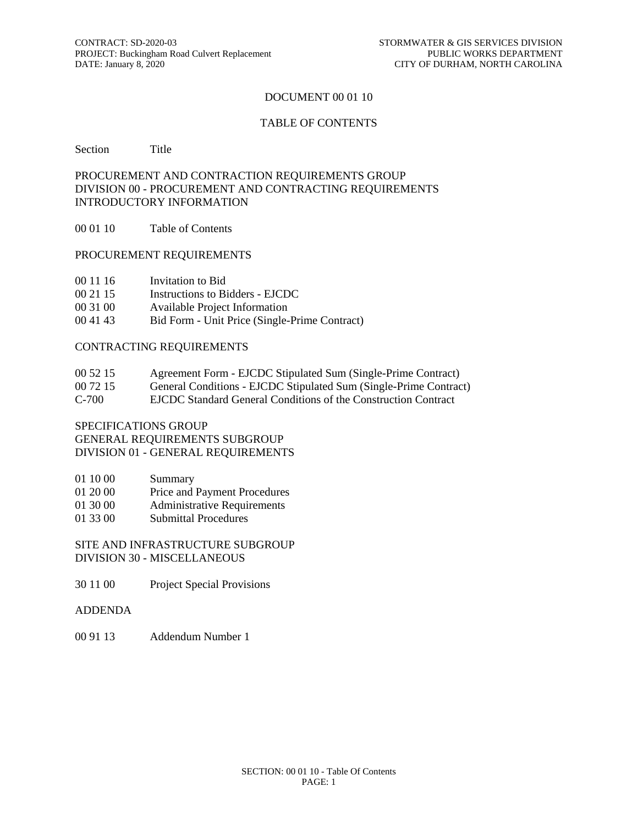#### DOCUMENT 00 01 10

#### TABLE OF CONTENTS

Section Title

#### PROCUREMENT AND CONTRACTION REQUIREMENTS GROUP DIVISION 00 - PROCUREMENT AND CONTRACTING REQUIREMENTS INTRODUCTORY INFORMATION

00 01 10 Table of Contents

#### PROCUREMENT REQUIREMENTS

- 00 11 16 Invitation to Bid
- 00 21 15 Instructions to Bidders EJCDC
- 00 31 00 Available Project Information
- 00 41 43 Bid Form Unit Price (Single-Prime Contract)

#### CONTRACTING REQUIREMENTS

| 00 52 15 | Agreement Form - EJCDC Stipulated Sum (Single-Prime Contract) |  |
|----------|---------------------------------------------------------------|--|
|          |                                                               |  |

- 00 72 15 General Conditions EJCDC Stipulated Sum (Single-Prime Contract)
- C-700 EJCDC Standard General Conditions of the Construction Contract

SPECIFICATIONS GROUP GENERAL REQUIREMENTS SUBGROUP DIVISION 01 - GENERAL REQUIREMENTS

- 01 10 00 Summary
- 01 20 00 Price and Payment Procedures
- 01 30 00 Administrative Requirements
- 01 33 00 Submittal Procedures

SITE AND INFRASTRUCTURE SUBGROUP DIVISION 30 - MISCELLANEOUS

- 30 11 00 Project Special Provisions
- ADDENDA
- 00 91 13 Addendum Number 1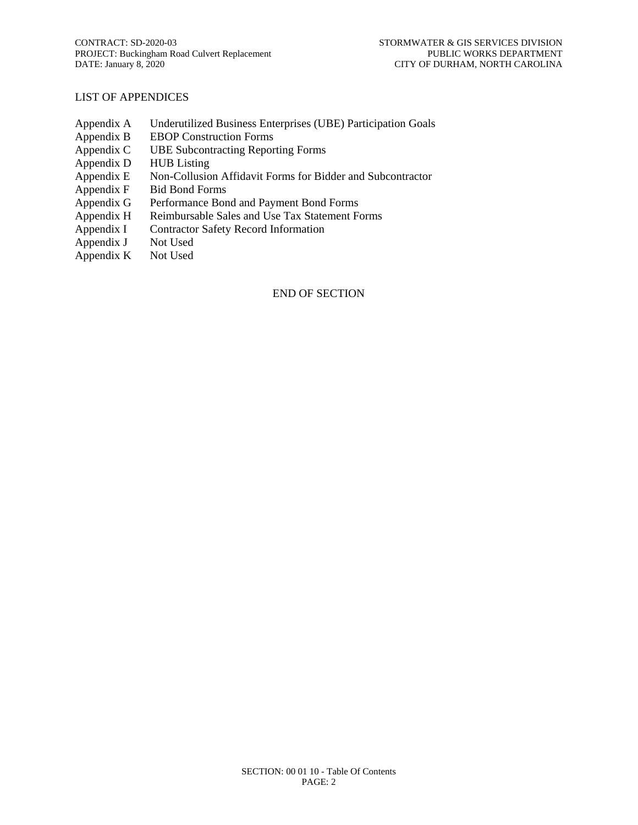#### LIST OF APPENDICES

- Appendix A Underutilized Business Enterprises (UBE) Participation Goals
- Appendix B EBOP Construction Forms<br>Appendix C UBE Subcontracting Repor
- UBE Subcontracting Reporting Forms
- Appendix D HUB Listing
- Appendix E Non-Collusion Affidavit Forms for Bidder and Subcontractor
- Appendix F Bid Bond Forms
- Appendix G Performance Bond and Payment Bond Forms
- Appendix H Reimbursable Sales and Use Tax Statement Forms
- Appendix I Contractor Safety Record Information
- Appendix J Not Used<br>Appendix K Not Used
- Appendix  $K$

#### END OF SECTION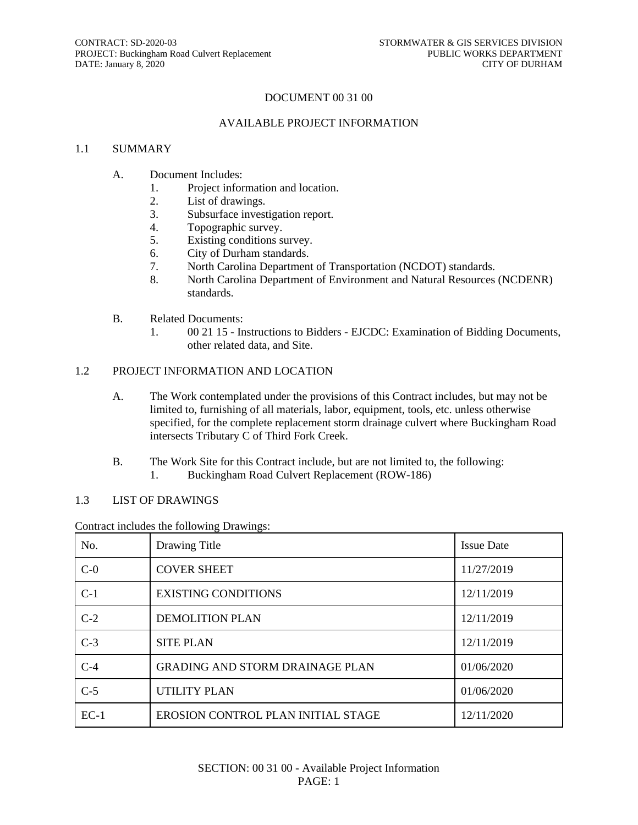#### DOCUMENT 00 31 00

#### AVAILABLE PROJECT INFORMATION

#### 1.1 SUMMARY

- A. Document Includes:
	- 1. Project information and location.
	- 2. List of drawings.<br>3. Subsurface invest
	- Subsurface investigation report.
	- 4. Topographic survey.
	- 5. Existing conditions survey.
	- 6. City of Durham standards.
	- 7. North Carolina Department of Transportation (NCDOT) standards.
	- 8. North Carolina Department of Environment and Natural Resources (NCDENR) standards.
- B. Related Documents:
	- 1. 00 21 15 Instructions to Bidders EJCDC: Examination of Bidding Documents, other related data, and Site.

#### 1.2 PROJECT INFORMATION AND LOCATION

- A. The Work contemplated under the provisions of this Contract includes, but may not be limited to, furnishing of all materials, labor, equipment, tools, etc. unless otherwise specified, for the complete replacement storm drainage culvert where Buckingham Road intersects Tributary C of Third Fork Creek.
- B. The Work Site for this Contract include, but are not limited to, the following: 1. Buckingham Road Culvert Replacement (ROW-186)

#### 1.3 LIST OF DRAWINGS

#### Contract includes the following Drawings:

| No.    | Drawing Title                          | <b>Issue Date</b> |
|--------|----------------------------------------|-------------------|
| $C-0$  | <b>COVER SHEET</b>                     | 11/27/2019        |
| $C-1$  | <b>EXISTING CONDITIONS</b>             | 12/11/2019        |
| $C-2$  | <b>DEMOLITION PLAN</b>                 | 12/11/2019        |
| $C-3$  | <b>SITE PLAN</b>                       | 12/11/2019        |
| $C-4$  | <b>GRADING AND STORM DRAINAGE PLAN</b> | 01/06/2020        |
| $C-5$  | <b>UTILITY PLAN</b>                    | 01/06/2020        |
| $EC-1$ | EROSION CONTROL PLAN INITIAL STAGE     | 12/11/2020        |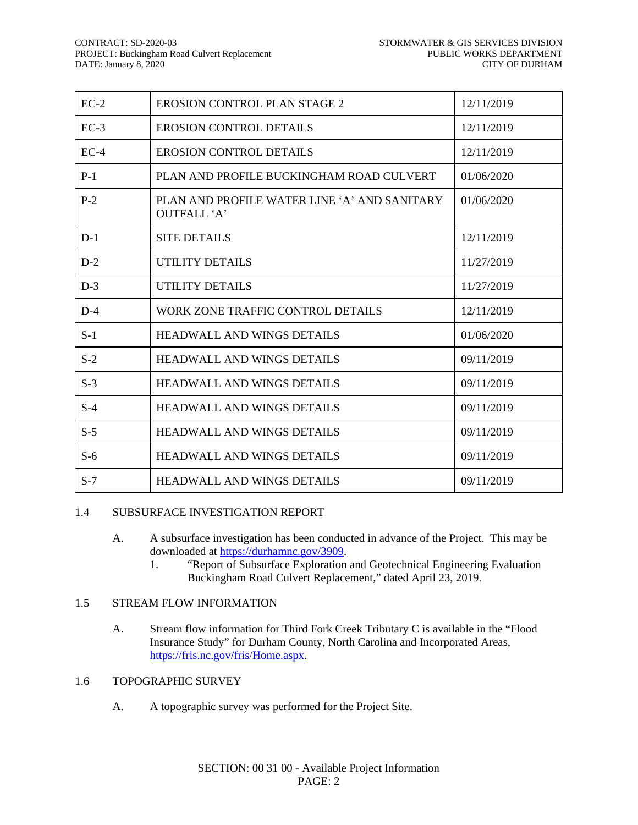| $EC-2$ | <b>EROSION CONTROL PLAN STAGE 2</b>                         | 12/11/2019 |
|--------|-------------------------------------------------------------|------------|
| $EC-3$ | <b>EROSION CONTROL DETAILS</b>                              | 12/11/2019 |
| $EC-4$ | <b>EROSION CONTROL DETAILS</b>                              | 12/11/2019 |
| $P-1$  | PLAN AND PROFILE BUCKINGHAM ROAD CULVERT                    | 01/06/2020 |
| $P-2$  | PLAN AND PROFILE WATER LINE 'A' AND SANITARY<br>OUTFALL 'A' | 01/06/2020 |
| $D-1$  | <b>SITE DETAILS</b>                                         | 12/11/2019 |
| $D-2$  | UTILITY DETAILS                                             | 11/27/2019 |
| $D-3$  | <b>UTILITY DETAILS</b>                                      | 11/27/2019 |
| $D-4$  | WORK ZONE TRAFFIC CONTROL DETAILS                           | 12/11/2019 |
| $S-1$  | <b>HEADWALL AND WINGS DETAILS</b>                           | 01/06/2020 |
| $S-2$  | <b>HEADWALL AND WINGS DETAILS</b>                           | 09/11/2019 |
| $S-3$  | <b>HEADWALL AND WINGS DETAILS</b>                           | 09/11/2019 |
| $S-4$  | <b>HEADWALL AND WINGS DETAILS</b>                           | 09/11/2019 |
| $S-5$  | <b>HEADWALL AND WINGS DETAILS</b>                           | 09/11/2019 |
| $S-6$  | <b>HEADWALL AND WINGS DETAILS</b>                           | 09/11/2019 |
| $S-7$  | <b>HEADWALL AND WINGS DETAILS</b>                           | 09/11/2019 |

#### 1.4 SUBSURFACE INVESTIGATION REPORT

- A. A subsurface investigation has been conducted in advance of the Project. This may be downloaded at [https://durhamnc.gov/3909.](https://durhamnc.gov/3909)
	- 1. "Report of Subsurface Exploration and Geotechnical Engineering Evaluation Buckingham Road Culvert Replacement," dated April 23, 2019.

#### 1.5 STREAM FLOW INFORMATION

A. Stream flow information for Third Fork Creek Tributary C is available in the "Flood Insurance Study" for Durham County, North Carolina and Incorporated Areas, [https://fris.nc.gov/fris/Home.aspx.](https://fris.nc.gov/fris/Home.aspx)

#### 1.6 TOPOGRAPHIC SURVEY

A. A topographic survey was performed for the Project Site.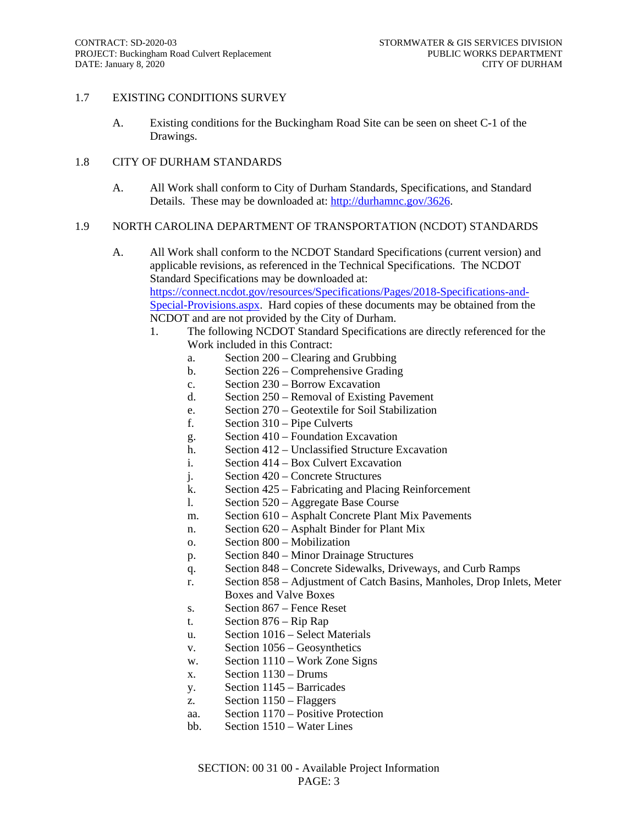#### 1.7 EXISTING CONDITIONS SURVEY

A. Existing conditions for the Buckingham Road Site can be seen on sheet C-1 of the Drawings.

#### 1.8 CITY OF DURHAM STANDARDS

A. All Work shall conform to City of Durham Standards, Specifications, and Standard Details. These may be downloaded at: [http://durhamnc.gov/3626.](http://durhamnc.gov/3626)

#### 1.9 NORTH CAROLINA DEPARTMENT OF TRANSPORTATION (NCDOT) STANDARDS

- A. All Work shall conform to the NCDOT Standard Specifications (current version) and applicable revisions, as referenced in the Technical Specifications. The NCDOT Standard Specifications may be downloaded at: [https://connect.ncdot.gov/resources/Specifications/Pages/2018-Specifications-and-](https://connect.ncdot.gov/resources/Specifications/Pages/2018-Specifications-and-Special-Provisions.aspx)[Special-Provisions.aspx.](https://connect.ncdot.gov/resources/Specifications/Pages/2018-Specifications-and-Special-Provisions.aspx) Hard copies of these documents may be obtained from the NCDOT and are not provided by the City of Durham.
	- 1. The following NCDOT Standard Specifications are directly referenced for the Work included in this Contract:
		- a. Section 200 Clearing and Grubbing
		- b. Section 226 Comprehensive Grading
		- c. Section 230 Borrow Excavation
		- d. Section 250 Removal of Existing Pavement
		- e. Section 270 Geotextile for Soil Stabilization
		- f. Section 310 Pipe Culverts
		- g. Section 410 Foundation Excavation
		- h. Section 412 Unclassified Structure Excavation
		- i. Section 414 Box Culvert Excavation
		- j. Section 420 Concrete Structures
		- k. Section 425 Fabricating and Placing Reinforcement
		- l. Section 520 Aggregate Base Course
		- m. Section 610 Asphalt Concrete Plant Mix Pavements
		- n. Section 620 Asphalt Binder for Plant Mix
		- o. Section 800 Mobilization
		- p. Section 840 Minor Drainage Structures
		- q. Section 848 Concrete Sidewalks, Driveways, and Curb Ramps
		- r. Section 858 Adjustment of Catch Basins, Manholes, Drop Inlets, Meter Boxes and Valve Boxes
			- s. Section 867 Fence Reset
		- t. Section 876 Rip Rap
		- u. Section 1016 Select Materials
		- v. Section 1056 Geosynthetics
		- w. Section 1110 Work Zone Signs
		- x. Section 1130 Drums
		- y. Section 1145 Barricades
		- z. Section 1150 Flaggers
		- aa. Section 1170 Positive Protection
		- bb. Section 1510 Water Lines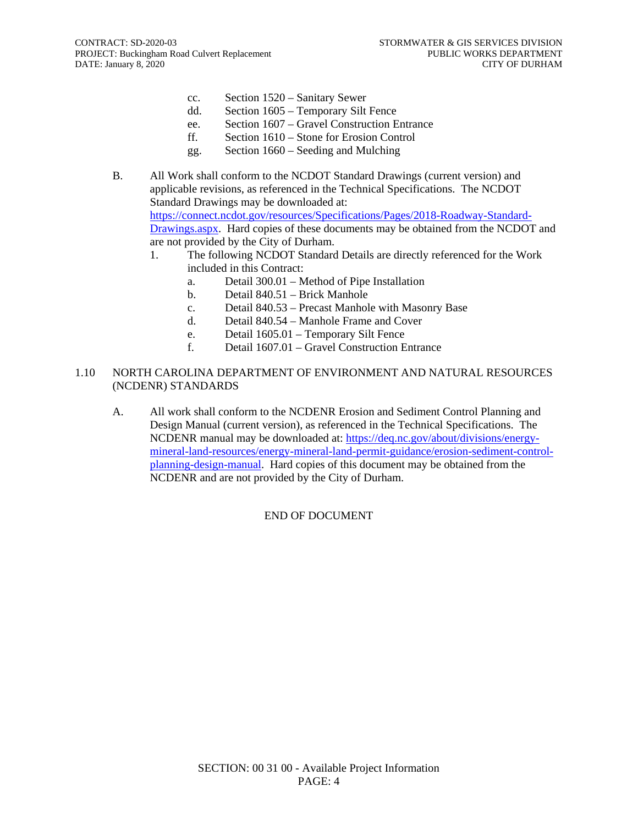- cc. Section 1520 Sanitary Sewer
- dd. Section 1605 Temporary Silt Fence
- ee. Section 1607 Gravel Construction Entrance
- ff. Section 1610 Stone for Erosion Control
- gg. Section 1660 Seeding and Mulching
- B. All Work shall conform to the NCDOT Standard Drawings (current version) and applicable revisions, as referenced in the Technical Specifications. The NCDOT Standard Drawings may be downloaded at: [https://connect.ncdot.gov/resources/Specifications/Pages/2018-Roadway-Standard-](https://connect.ncdot.gov/resources/Specifications/Pages/2018-Roadway-Standard-Drawings.aspx)[Drawings.aspx.](https://connect.ncdot.gov/resources/Specifications/Pages/2018-Roadway-Standard-Drawings.aspx) Hard copies of these documents may be obtained from the NCDOT and are not provided by the City of Durham.
	- 1. The following NCDOT Standard Details are directly referenced for the Work included in this Contract:
		- a. Detail 300.01 Method of Pipe Installation
		- b. Detail 840.51 Brick Manhole
		- c. Detail 840.53 Precast Manhole with Masonry Base
		- d. Detail 840.54 Manhole Frame and Cover
		- e. Detail 1605.01 Temporary Silt Fence
		- f. Detail 1607.01 Gravel Construction Entrance

#### 1.10 NORTH CAROLINA DEPARTMENT OF ENVIRONMENT AND NATURAL RESOURCES (NCDENR) STANDARDS

A. All work shall conform to the NCDENR Erosion and Sediment Control Planning and Design Manual (current version), as referenced in the Technical Specifications. The NCDENR manual may be downloaded at: [https://deq.nc.gov/about/divisions/energy](https://deq.nc.gov/about/divisions/energy-mineral-land-resources/energy-mineral-land-permit-guidance/erosion-sediment-control-planning-design-manual)[mineral-land-resources/energy-mineral-land-permit-guidance/erosion-sediment-control](https://deq.nc.gov/about/divisions/energy-mineral-land-resources/energy-mineral-land-permit-guidance/erosion-sediment-control-planning-design-manual)[planning-design-manual.](https://deq.nc.gov/about/divisions/energy-mineral-land-resources/energy-mineral-land-permit-guidance/erosion-sediment-control-planning-design-manual) Hard copies of this document may be obtained from the NCDENR and are not provided by the City of Durham.

## END OF DOCUMENT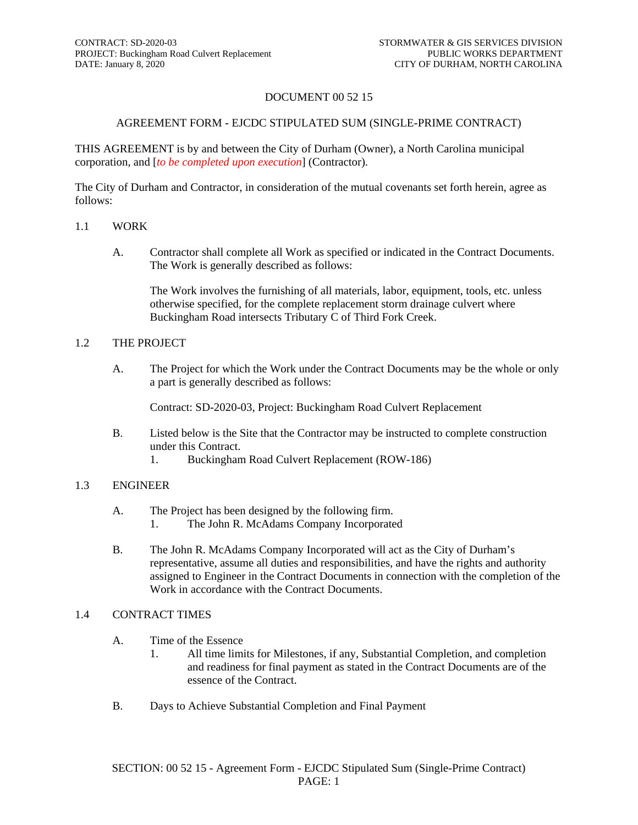#### DOCUMENT 00 52 15

#### AGREEMENT FORM - EJCDC STIPULATED SUM (SINGLE-PRIME CONTRACT)

THIS AGREEMENT is by and between the City of Durham (Owner), a North Carolina municipal corporation, and [*to be completed upon execution*] (Contractor).

The City of Durham and Contractor, in consideration of the mutual covenants set forth herein, agree as follows:

#### 1.1 WORK

A. Contractor shall complete all Work as specified or indicated in the Contract Documents. The Work is generally described as follows:

The Work involves the furnishing of all materials, labor, equipment, tools, etc. unless otherwise specified, for the complete replacement storm drainage culvert where Buckingham Road intersects Tributary C of Third Fork Creek.

#### 1.2 THE PROJECT

A. The Project for which the Work under the Contract Documents may be the whole or only a part is generally described as follows:

Contract: SD-2020-03, Project: Buckingham Road Culvert Replacement

- B. Listed below is the Site that the Contractor may be instructed to complete construction under this Contract.
	- 1. Buckingham Road Culvert Replacement (ROW-186)

#### 1.3 ENGINEER

- A. The Project has been designed by the following firm.
	- 1. The John R. McAdams Company Incorporated
- B. The John R. McAdams Company Incorporated will act as the City of Durham's representative, assume all duties and responsibilities, and have the rights and authority assigned to Engineer in the Contract Documents in connection with the completion of the Work in accordance with the Contract Documents.

#### 1.4 CONTRACT TIMES

- A. Time of the Essence
	- 1. All time limits for Milestones, if any, Substantial Completion, and completion and readiness for final payment as stated in the Contract Documents are of the essence of the Contract.
- B. Days to Achieve Substantial Completion and Final Payment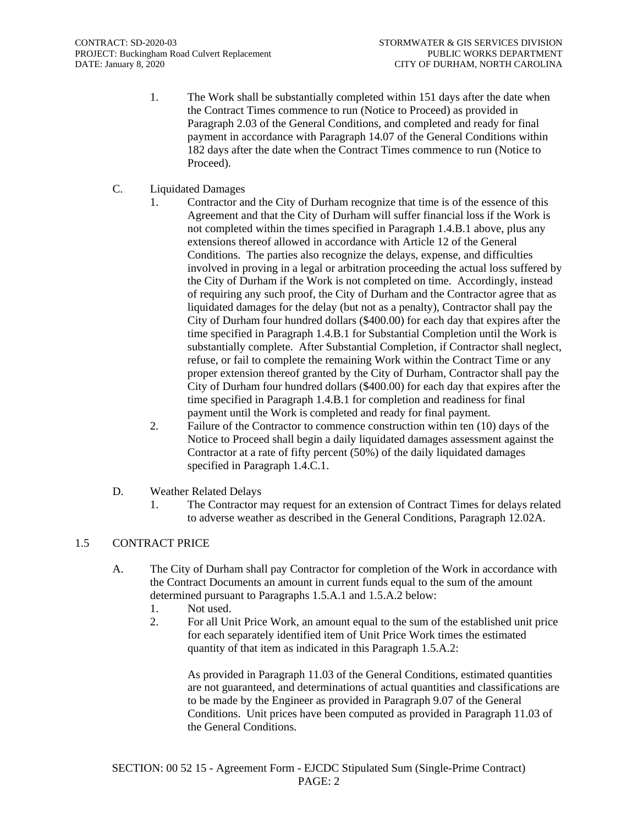- 1. The Work shall be substantially completed within 151 days after the date when the Contract Times commence to run (Notice to Proceed) as provided in Paragraph 2.03 of the General Conditions, and completed and ready for final payment in accordance with Paragraph 14.07 of the General Conditions within 182 days after the date when the Contract Times commence to run (Notice to Proceed).
- C. Liquidated Damages
	- 1. Contractor and the City of Durham recognize that time is of the essence of this Agreement and that the City of Durham will suffer financial loss if the Work is not completed within the times specified in Paragraph 1.4.B.1 above, plus any extensions thereof allowed in accordance with Article 12 of the General Conditions. The parties also recognize the delays, expense, and difficulties involved in proving in a legal or arbitration proceeding the actual loss suffered by the City of Durham if the Work is not completed on time. Accordingly, instead of requiring any such proof, the City of Durham and the Contractor agree that as liquidated damages for the delay (but not as a penalty), Contractor shall pay the City of Durham four hundred dollars (\$400.00) for each day that expires after the time specified in Paragraph 1.4.B.1 for Substantial Completion until the Work is substantially complete. After Substantial Completion, if Contractor shall neglect, refuse, or fail to complete the remaining Work within the Contract Time or any proper extension thereof granted by the City of Durham, Contractor shall pay the City of Durham four hundred dollars (\$400.00) for each day that expires after the time specified in Paragraph 1.4.B.1 for completion and readiness for final payment until the Work is completed and ready for final payment.
	- 2. Failure of the Contractor to commence construction within ten (10) days of the Notice to Proceed shall begin a daily liquidated damages assessment against the Contractor at a rate of fifty percent (50%) of the daily liquidated damages specified in Paragraph 1.4.C.1.
- D. Weather Related Delays
	- 1. The Contractor may request for an extension of Contract Times for delays related to adverse weather as described in the General Conditions, Paragraph 12.02A.

#### 1.5 CONTRACT PRICE

- A. The City of Durham shall pay Contractor for completion of the Work in accordance with the Contract Documents an amount in current funds equal to the sum of the amount determined pursuant to Paragraphs 1.5.A.1 and 1.5.A.2 below:
	- 1. Not used.
	- 2. For all Unit Price Work, an amount equal to the sum of the established unit price for each separately identified item of Unit Price Work times the estimated quantity of that item as indicated in this Paragraph 1.5.A.2:

As provided in Paragraph 11.03 of the General Conditions, estimated quantities are not guaranteed, and determinations of actual quantities and classifications are to be made by the Engineer as provided in Paragraph 9.07 of the General Conditions. Unit prices have been computed as provided in Paragraph 11.03 of the General Conditions.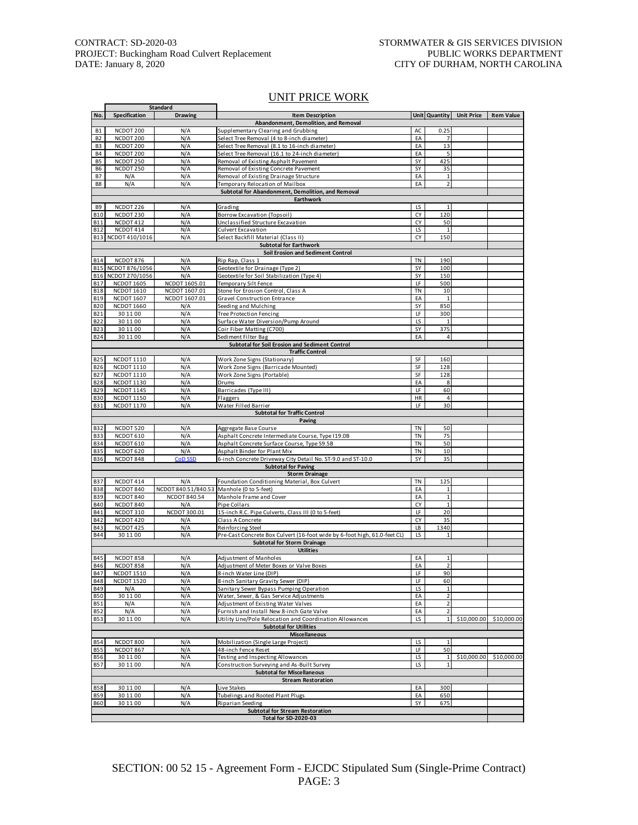п

#### UNIT PRICE WORK

|                |                    | Standard            |                                                                           |     |                |                   |                   |
|----------------|--------------------|---------------------|---------------------------------------------------------------------------|-----|----------------|-------------------|-------------------|
| No.            | Specification      | <b>Drawing</b>      | <b>Item Description</b>                                                   |     | Unit Quantity  | <b>Unit Price</b> | <b>Item Value</b> |
|                |                    |                     | Abandonment, Demolition, and Removal                                      |     |                |                   |                   |
| <b>B1</b>      | NCDOT 200          | N/A                 | Supplementary Clearing and Grubbing                                       | AC  | 0.25           |                   |                   |
| B <sub>2</sub> | NCDOT 200          | N/A                 | Select Tree Removal (4 to 8-inch diameter)                                | EA  | $\overline{7}$ |                   |                   |
| B <sub>3</sub> | NCDOT 200          | N/A                 | Select Tree Removal (8.1 to 16-inch diameter)                             | EA  | 13             |                   |                   |
| <b>B4</b>      | NCDOT 200          | N/A                 | Select Tree Removal (16.1 to 24-inch diameter)                            | EA  | 5              |                   |                   |
| B <sub>5</sub> | NCDOT 250          | N/A                 | Removal of Existing Asphalt Pavement                                      | SY  | 425            |                   |                   |
| B6             | NCDOT 250          | N/A                 | Removal of Existing Concrete Pavement                                     | SY  | 35             |                   |                   |
| <b>B7</b>      | N/A                | N/A                 | Removal of Existing Drainage Structure                                    | EA  | $\mathbf 1$    |                   |                   |
| B8             | N/A                | N/A                 | Temporary Relocation of Mailbox                                           | EA  | $\overline{2}$ |                   |                   |
|                |                    |                     | Subtotal for Abandonment, Demolition, and Removal                         |     |                |                   |                   |
|                |                    |                     |                                                                           |     |                |                   |                   |
|                |                    |                     | Earthwork                                                                 |     |                |                   |                   |
| B9             | NCDOT 226          | N/A                 | Grading                                                                   | LS  | $\mathbf{1}$   |                   |                   |
| <b>B10</b>     | NCDOT 230          | N/A                 | Borrow Excavation (Topsoil)                                               | СY  | 120            |                   |                   |
| B11            | NCDOT 412          | N/A                 | Unclassified Structure Excavation                                         | CY  | 50             |                   |                   |
| <b>B12</b>     | NCDOT 414          | N/A                 | Culvert Excavation                                                        | LS  | $\mathbf{1}$   |                   |                   |
|                | B13 NCDOT 410/1016 | N/A                 | Select Backfill Material (Class II)                                       | CY  | 150            |                   |                   |
|                |                    |                     | <b>Subtotal for Earthwork</b>                                             |     |                |                   |                   |
|                |                    |                     | Soil Erosion and Sediment Control                                         |     |                |                   |                   |
| B14            | NCDOT 876          | N/A                 | Rip Rap, Class 1                                                          | TN  | 190            |                   |                   |
| <b>B15</b>     | NCDOT 876/1056     | N/A                 | Geotextile for Drainage (Type 2)                                          | SY  | 100            |                   |                   |
|                | B16 NCDOT 270/1056 | N/A                 | Geotextile for Soil Stabilization (Type 4)                                | SY  | 150            |                   |                   |
|                |                    |                     |                                                                           |     |                |                   |                   |
| B17            | <b>NCDOT 1605</b>  | NCDOT 1605.01       | Temporary Silt Fence                                                      | LF  | 500            |                   |                   |
| <b>B18</b>     | <b>NCDOT 1610</b>  | NCDOT 1607.01       | Stone for Erosion Control, Class A                                        | TN  | 10             |                   |                   |
| <b>B19</b>     | <b>NCDOT 1607</b>  | NCDOT 1607.01       | <b>Gravel Construction Entrance</b>                                       | EA  | $\mathbf{1}$   |                   |                   |
| <b>B20</b>     | <b>NCDOT 1660</b>  | N/A                 | Seeding and Mulching                                                      | SY  | 850            |                   |                   |
| <b>B21</b>     | 30 11 00           | N/A                 | <b>Tree Protection Fencing</b>                                            | LF  | 300            |                   |                   |
| B22            | 30 11 00           | N/A                 | Surface Water Diversion/Pump Around                                       | LS  | 1              |                   |                   |
| B23            | 30 11 00           | N/A                 | Coir Fiber Matting (C700)                                                 | SY  | 375            |                   |                   |
| B24            | 30 11 00           | N/A                 | Sediment Filter Bag                                                       | EA  | 4              |                   |                   |
|                |                    |                     | Subtotal for Soil Erosion and Sediment Control                            |     |                |                   |                   |
|                |                    |                     | <b>Traffic Control</b>                                                    |     |                |                   |                   |
| <b>B25</b>     | <b>NCDOT 1110</b>  | N/A                 | Work Zone Signs (Stationary)                                              | SF  | 160            |                   |                   |
|                |                    |                     |                                                                           |     |                |                   |                   |
| <b>B26</b>     | <b>NCDOT 1110</b>  | N/A                 | Work Zone Signs (Barricade Mounted)                                       | SF  | 128            |                   |                   |
| B27            | <b>NCDOT 1110</b>  | N/A                 | Work Zone Signs (Portable)                                                | SF  | 128            |                   |                   |
| <b>B28</b>     | <b>NCDOT 1130</b>  | N/A                 | Drums                                                                     | EA  | 8              |                   |                   |
| B29            | <b>NCDOT 1145</b>  | N/A                 | Barricades (Type III)                                                     | LF  | 60             |                   |                   |
| <b>B30</b>     | <b>NCDOT 1150</b>  | N/A                 | Flaggers                                                                  | HR  | $\overline{4}$ |                   |                   |
| <b>B31</b>     | <b>NCDOT 1170</b>  | N/A                 | Water Filled Barrier                                                      | LF  | 30             |                   |                   |
|                |                    |                     | <b>Subtotal for Traffic Control</b>                                       |     |                |                   |                   |
|                |                    |                     | Paving                                                                    |     |                |                   |                   |
| <b>B32</b>     | NCDOT 520          | N/A                 | Aggregate Base Course                                                     | TN  | 50             |                   |                   |
| <b>B33</b>     | NCDOT 610          | N/A                 | Asphalt Concrete Intermediate Course, Type I19.0B                         | TN  | 75             |                   |                   |
| <b>B34</b>     | NCDOT 610          | N/A                 | Asphalt Concrete Surface Course, Type S9.5B                               | TN  | 50             |                   |                   |
| <b>B35</b>     | NCDOT 620          | N/A                 | Asphalt Binder for Plant Mix                                              | TN  | 10             |                   |                   |
| B36            | NCDOT 848          | <b>CoD SSD</b>      | 6-inch Concrete Driveway City Detail No. ST-9.0 and ST-10.0               | SY  | 35             |                   |                   |
|                |                    |                     |                                                                           |     |                |                   |                   |
|                |                    |                     | <b>Subtotal for Paving</b>                                                |     |                |                   |                   |
|                |                    |                     | <b>Storm Drainage</b>                                                     |     |                |                   |                   |
| B37            | NCDOT 414          | N/A                 | Foundation Conditioning Material, Box Culvert                             | TN  | 125            |                   |                   |
| <b>B38</b>     | NCDOT 840          | NCDOT 840.51/840.53 | Manhole (0 to 5-feet)                                                     | EA  | $\mathbf{1}$   |                   |                   |
| B39            | NCDOT 840          | NCDOT 840.54        | Manhole Frame and Cover                                                   | EA  | $\mathbf 1$    |                   |                   |
| <b>B40</b>     | NCDOT 840          | N/A                 | Pipe Collars                                                              | CY  | $\mathbf{1}$   |                   |                   |
| B41            | NCDOT 310          | NCDOT 300.01        | 15-inch R.C. Pipe Culverts, Class III (0 to 5-feet)                       | LF  | 20             |                   |                   |
| B42            | NCDOT 420          | N/A                 | Class A Concrete                                                          | CY  | 35             |                   |                   |
| B43            | NCDOT 425          | N/A                 | Reinforcing Steel                                                         | LB  | 1340           |                   |                   |
| <b>B44</b>     | 30 11 00           | N/A                 | Pre-Cast Concrete Box Culvert (16-foot wide by 6-foot high, 61.0-feet CL) | LS  | $\mathbf{1}$   |                   |                   |
|                |                    |                     | <b>Subtotal for Storm Drainage</b>                                        |     |                |                   |                   |
|                |                    |                     | <b>Utilities</b>                                                          |     |                |                   |                   |
|                |                    |                     |                                                                           |     | $\mathbf{1}$   |                   |                   |
| B45            | NCDOT 858          | N/A                 | Adjustment of Manholes<br>Adjustment of Meter Boxes or Valve Boxes        | EA  |                |                   |                   |
|                |                    |                     |                                                                           | EA  | $\overline{2}$ |                   |                   |
| <b>B46</b>     | NCDOT 858          | N/A                 |                                                                           |     |                |                   |                   |
| <b>B47</b>     | <b>NCDOT 1510</b>  | N/A                 | 8-inch Water Line (DIP)                                                   | LF. | 90             |                   |                   |
| <b>B48</b>     | <b>NCDOT 1520</b>  | N/A                 | 8-inch Sanitary Gravity Sewer (DIP)                                       | LF  | 60             |                   |                   |
| B49            | N/A                | N/A                 | Sanitary Sewer Bypass Pumping Operation                                   | LS  | 1              |                   |                   |
| <b>B50</b>     | 30 11 00           | N/A                 | Water, Sewer, & Gas Service Adjustments                                   | EA  | $\overline{2}$ |                   |                   |
| <b>B51</b>     | N/A                | N/A                 | Adjustment of Existing Water Valves                                       | EA  | $\overline{2}$ |                   |                   |
| <b>B52</b>     | N/A                | N/A                 | Furnish and Install New 8-inch Gate Valve                                 | EA  |                |                   |                   |
|                | 30 11 00           |                     |                                                                           | LS  | $\mathbf{1}$   |                   |                   |
| B53            |                    | N/A                 | Utility Line/Pole Relocation and Coordination Allowances                  |     |                | \$10,000.00       | \$10,000.00       |
|                |                    |                     | <b>Subtotal for Utilities</b>                                             |     |                |                   |                   |
|                |                    |                     | Miscellaneous                                                             |     |                |                   |                   |
| <b>B54</b>     | NCDOT 800          | N/A                 | Mobilization (Single Large Project)                                       | LS  | $\mathbf{1}$   |                   |                   |
| <b>B55</b>     | NCDOT 867          | N/A                 | 48-inch Fence Reset                                                       | LF  | 50             |                   |                   |
| B56            | 30 11 00           | N/A                 | Testing and Inspecting Allowances                                         | LS  | 1              | \$10,000.00       | \$10,000.00       |
| <b>B57</b>     | 30 11 00           | N/A                 | Construction Surveying and As-Built Survey                                | LS  | $\mathbf 1$    |                   |                   |
|                |                    |                     | <b>Subtotal for Miscellaneous</b>                                         |     |                |                   |                   |
|                |                    |                     | <b>Stream Restoration</b>                                                 |     |                |                   |                   |
| B58            | 30 11 00           | N/A                 | Live Stakes                                                               | EA  | 300            |                   |                   |
| <b>B59</b>     | 30 11 00           | N/A                 | Tubelings and Rooted Plant Plugs                                          | EA  | 650            |                   |                   |
| <b>B60</b>     | 30 11 00           | N/A                 | Riparian Seeding                                                          | SY  | 675            |                   |                   |
|                |                    |                     | <b>Subtotal for Stream Restoration</b>                                    |     |                |                   |                   |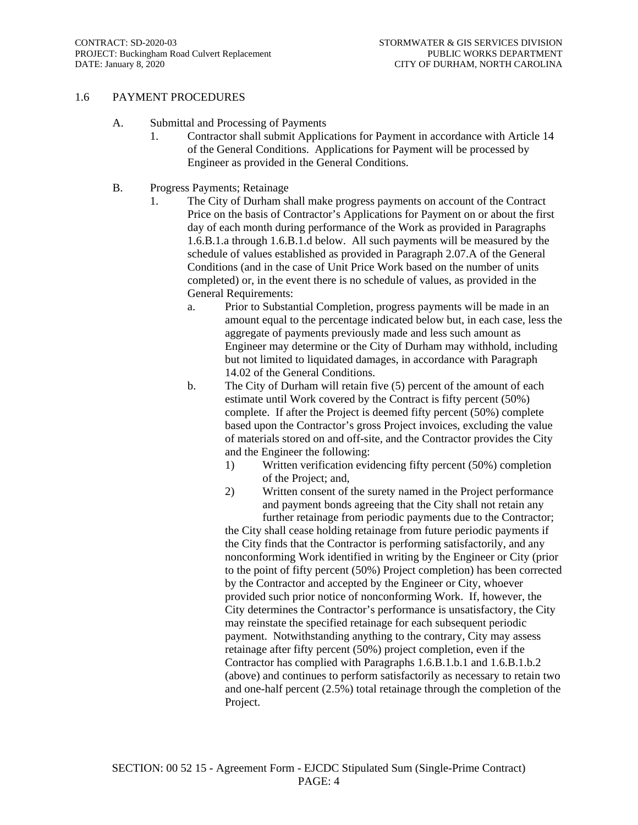#### 1.6 PAYMENT PROCEDURES

- A. Submittal and Processing of Payments
	- 1. Contractor shall submit Applications for Payment in accordance with Article 14 of the General Conditions. Applications for Payment will be processed by Engineer as provided in the General Conditions.
- B. Progress Payments; Retainage
	- 1. The City of Durham shall make progress payments on account of the Contract Price on the basis of Contractor's Applications for Payment on or about the first day of each month during performance of the Work as provided in Paragraphs 1.6.B.1.a through 1.6.B.1.d below. All such payments will be measured by the schedule of values established as provided in Paragraph 2.07.A of the General Conditions (and in the case of Unit Price Work based on the number of units completed) or, in the event there is no schedule of values, as provided in the General Requirements:
		- a. Prior to Substantial Completion, progress payments will be made in an amount equal to the percentage indicated below but, in each case, less the aggregate of payments previously made and less such amount as Engineer may determine or the City of Durham may withhold, including but not limited to liquidated damages, in accordance with Paragraph 14.02 of the General Conditions.
		- b. The City of Durham will retain five (5) percent of the amount of each estimate until Work covered by the Contract is fifty percent (50%) complete. If after the Project is deemed fifty percent (50%) complete based upon the Contractor's gross Project invoices, excluding the value of materials stored on and off-site, and the Contractor provides the City and the Engineer the following:
			- 1) Written verification evidencing fifty percent (50%) completion of the Project; and,
			- 2) Written consent of the surety named in the Project performance and payment bonds agreeing that the City shall not retain any further retainage from periodic payments due to the Contractor;

the City shall cease holding retainage from future periodic payments if the City finds that the Contractor is performing satisfactorily, and any nonconforming Work identified in writing by the Engineer or City (prior to the point of fifty percent (50%) Project completion) has been corrected by the Contractor and accepted by the Engineer or City, whoever provided such prior notice of nonconforming Work. If, however, the City determines the Contractor's performance is unsatisfactory, the City may reinstate the specified retainage for each subsequent periodic payment. Notwithstanding anything to the contrary, City may assess retainage after fifty percent (50%) project completion, even if the Contractor has complied with Paragraphs 1.6.B.1.b.1 and 1.6.B.1.b.2 (above) and continues to perform satisfactorily as necessary to retain two and one-half percent (2.5%) total retainage through the completion of the Project.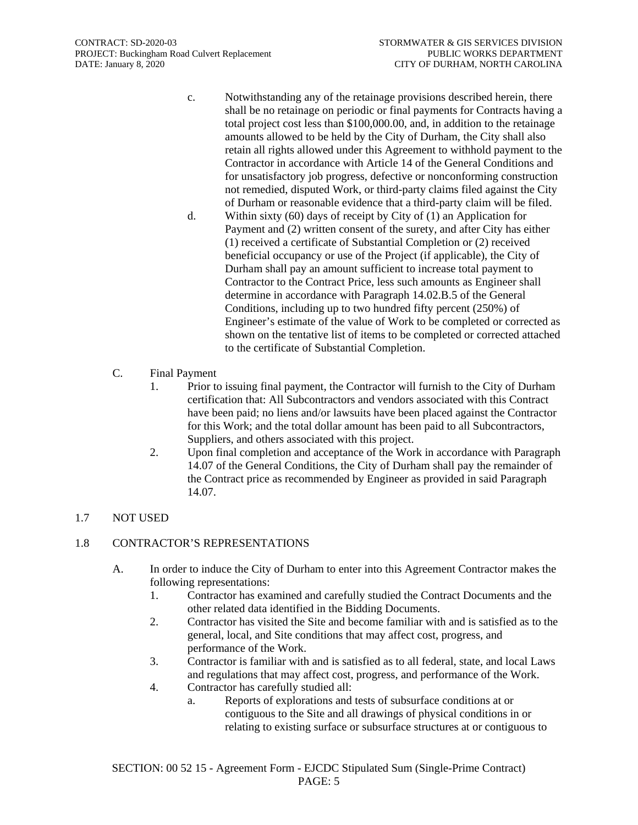- c. Notwithstanding any of the retainage provisions described herein, there shall be no retainage on periodic or final payments for Contracts having a total project cost less than \$100,000.00, and, in addition to the retainage amounts allowed to be held by the City of Durham, the City shall also retain all rights allowed under this Agreement to withhold payment to the Contractor in accordance with Article 14 of the General Conditions and for unsatisfactory job progress, defective or nonconforming construction not remedied, disputed Work, or third-party claims filed against the City of Durham or reasonable evidence that a third-party claim will be filed.
- d. Within sixty (60) days of receipt by City of (1) an Application for Payment and (2) written consent of the surety, and after City has either (1) received a certificate of Substantial Completion or (2) received beneficial occupancy or use of the Project (if applicable), the City of Durham shall pay an amount sufficient to increase total payment to Contractor to the Contract Price, less such amounts as Engineer shall determine in accordance with Paragraph 14.02.B.5 of the General Conditions, including up to two hundred fifty percent (250%) of Engineer's estimate of the value of Work to be completed or corrected as shown on the tentative list of items to be completed or corrected attached to the certificate of Substantial Completion.
- C. Final Payment
	- 1. Prior to issuing final payment, the Contractor will furnish to the City of Durham certification that: All Subcontractors and vendors associated with this Contract have been paid; no liens and/or lawsuits have been placed against the Contractor for this Work; and the total dollar amount has been paid to all Subcontractors, Suppliers, and others associated with this project.
	- 2. Upon final completion and acceptance of the Work in accordance with Paragraph 14.07 of the General Conditions, the City of Durham shall pay the remainder of the Contract price as recommended by Engineer as provided in said Paragraph 14.07.

## 1.7 NOT USED

#### 1.8 CONTRACTOR'S REPRESENTATIONS

- A. In order to induce the City of Durham to enter into this Agreement Contractor makes the following representations:
	- 1. Contractor has examined and carefully studied the Contract Documents and the other related data identified in the Bidding Documents.
	- 2. Contractor has visited the Site and become familiar with and is satisfied as to the general, local, and Site conditions that may affect cost, progress, and performance of the Work.
	- 3. Contractor is familiar with and is satisfied as to all federal, state, and local Laws and regulations that may affect cost, progress, and performance of the Work.
	- 4. Contractor has carefully studied all:
		- a. Reports of explorations and tests of subsurface conditions at or contiguous to the Site and all drawings of physical conditions in or relating to existing surface or subsurface structures at or contiguous to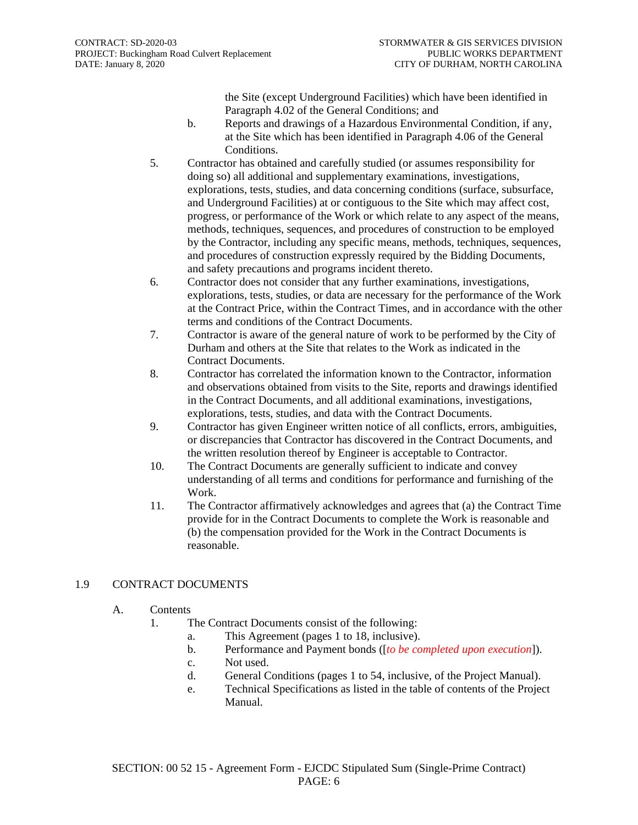the Site (except Underground Facilities) which have been identified in Paragraph 4.02 of the General Conditions; and

- b. Reports and drawings of a Hazardous Environmental Condition, if any, at the Site which has been identified in Paragraph 4.06 of the General Conditions.
- 5. Contractor has obtained and carefully studied (or assumes responsibility for doing so) all additional and supplementary examinations, investigations, explorations, tests, studies, and data concerning conditions (surface, subsurface, and Underground Facilities) at or contiguous to the Site which may affect cost, progress, or performance of the Work or which relate to any aspect of the means, methods, techniques, sequences, and procedures of construction to be employed by the Contractor, including any specific means, methods, techniques, sequences, and procedures of construction expressly required by the Bidding Documents, and safety precautions and programs incident thereto.
- 6. Contractor does not consider that any further examinations, investigations, explorations, tests, studies, or data are necessary for the performance of the Work at the Contract Price, within the Contract Times, and in accordance with the other terms and conditions of the Contract Documents.
- 7. Contractor is aware of the general nature of work to be performed by the City of Durham and others at the Site that relates to the Work as indicated in the Contract Documents.
- 8. Contractor has correlated the information known to the Contractor, information and observations obtained from visits to the Site, reports and drawings identified in the Contract Documents, and all additional examinations, investigations, explorations, tests, studies, and data with the Contract Documents.
- 9. Contractor has given Engineer written notice of all conflicts, errors, ambiguities, or discrepancies that Contractor has discovered in the Contract Documents, and the written resolution thereof by Engineer is acceptable to Contractor.
- 10. The Contract Documents are generally sufficient to indicate and convey understanding of all terms and conditions for performance and furnishing of the Work.
- 11. The Contractor affirmatively acknowledges and agrees that (a) the Contract Time provide for in the Contract Documents to complete the Work is reasonable and (b) the compensation provided for the Work in the Contract Documents is reasonable.

#### 1.9 CONTRACT DOCUMENTS

- A. Contents
	- 1. The Contract Documents consist of the following:
		- a. This Agreement (pages 1 to 18, inclusive).
		- b. Performance and Payment bonds ([*to be completed upon execution*]).
		- c. Not used.
		- d. General Conditions (pages 1 to 54, inclusive, of the Project Manual).
		- e. Technical Specifications as listed in the table of contents of the Project Manual.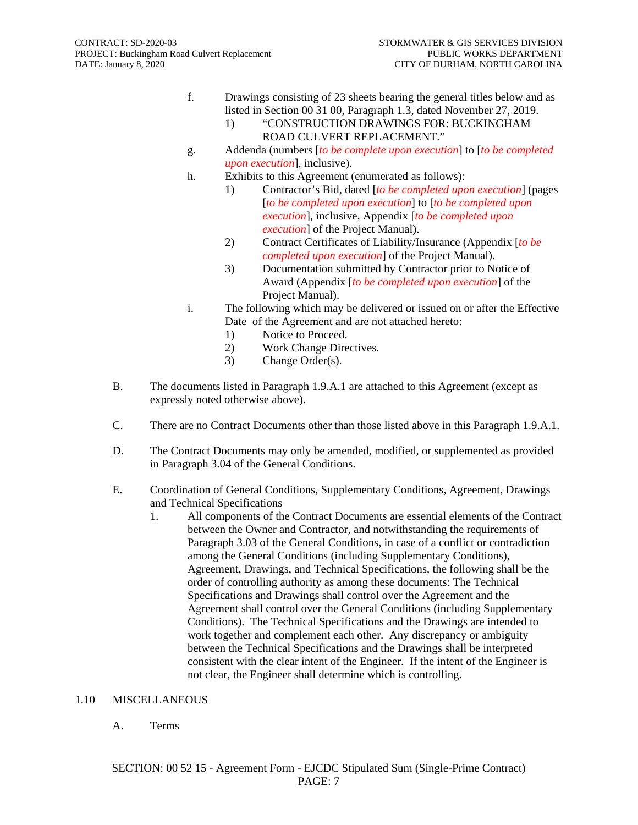- f. Drawings consisting of 23 sheets bearing the general titles below and as listed in Section 00 31 00, Paragraph 1.3, dated November 27, 2019.
	- 1) "CONSTRUCTION DRAWINGS FOR: BUCKINGHAM ROAD CULVERT REPLACEMENT."
- g. Addenda (numbers [*to be complete upon execution*] to [*to be completed upon execution*], inclusive).
- h. Exhibits to this Agreement (enumerated as follows):
	- 1) Contractor's Bid, dated [*to be completed upon execution*] (pages [*to be completed upon execution*] to [*to be completed upon execution*], inclusive, Appendix [*to be completed upon execution*] of the Project Manual).
	- 2) Contract Certificates of Liability/Insurance (Appendix [*to be completed upon execution*] of the Project Manual).
	- 3) Documentation submitted by Contractor prior to Notice of Award (Appendix [*to be completed upon execution*] of the Project Manual).
- i. The following which may be delivered or issued on or after the Effective Date of the Agreement and are not attached hereto:
	- 1) Notice to Proceed.
	- 2) Work Change Directives.
	- 3) Change Order(s).
- B. The documents listed in Paragraph 1.9.A.1 are attached to this Agreement (except as expressly noted otherwise above).
- C. There are no Contract Documents other than those listed above in this Paragraph 1.9.A.1.
- D. The Contract Documents may only be amended, modified, or supplemented as provided in Paragraph 3.04 of the General Conditions.
- E. Coordination of General Conditions, Supplementary Conditions, Agreement, Drawings and Technical Specifications
	- 1. All components of the Contract Documents are essential elements of the Contract between the Owner and Contractor, and notwithstanding the requirements of Paragraph 3.03 of the General Conditions, in case of a conflict or contradiction among the General Conditions (including Supplementary Conditions), Agreement, Drawings, and Technical Specifications, the following shall be the order of controlling authority as among these documents: The Technical Specifications and Drawings shall control over the Agreement and the Agreement shall control over the General Conditions (including Supplementary Conditions). The Technical Specifications and the Drawings are intended to work together and complement each other. Any discrepancy or ambiguity between the Technical Specifications and the Drawings shall be interpreted consistent with the clear intent of the Engineer. If the intent of the Engineer is not clear, the Engineer shall determine which is controlling.

#### 1.10 MISCELLANEOUS

#### A. Terms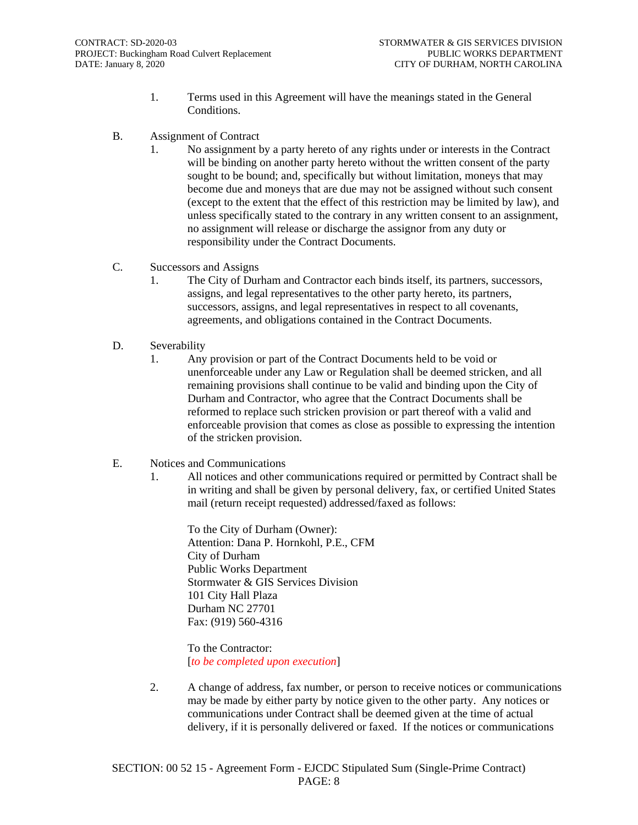- 1. Terms used in this Agreement will have the meanings stated in the General Conditions.
- B. Assignment of Contract
	- 1. No assignment by a party hereto of any rights under or interests in the Contract will be binding on another party hereto without the written consent of the party sought to be bound; and, specifically but without limitation, moneys that may become due and moneys that are due may not be assigned without such consent (except to the extent that the effect of this restriction may be limited by law), and unless specifically stated to the contrary in any written consent to an assignment, no assignment will release or discharge the assignor from any duty or responsibility under the Contract Documents.
- C. Successors and Assigns
	- 1. The City of Durham and Contractor each binds itself, its partners, successors, assigns, and legal representatives to the other party hereto, its partners, successors, assigns, and legal representatives in respect to all covenants, agreements, and obligations contained in the Contract Documents.
- D. Severability
	- 1. Any provision or part of the Contract Documents held to be void or unenforceable under any Law or Regulation shall be deemed stricken, and all remaining provisions shall continue to be valid and binding upon the City of Durham and Contractor, who agree that the Contract Documents shall be reformed to replace such stricken provision or part thereof with a valid and enforceable provision that comes as close as possible to expressing the intention of the stricken provision.
- E. Notices and Communications
	- 1. All notices and other communications required or permitted by Contract shall be in writing and shall be given by personal delivery, fax, or certified United States mail (return receipt requested) addressed/faxed as follows:

To the City of Durham (Owner): Attention: Dana P. Hornkohl, P.E., CFM City of Durham Public Works Department Stormwater & GIS Services Division 101 City Hall Plaza Durham NC 27701 Fax: (919) 560-4316

To the Contractor: [*to be completed upon execution*]

2. A change of address, fax number, or person to receive notices or communications may be made by either party by notice given to the other party. Any notices or communications under Contract shall be deemed given at the time of actual delivery, if it is personally delivered or faxed. If the notices or communications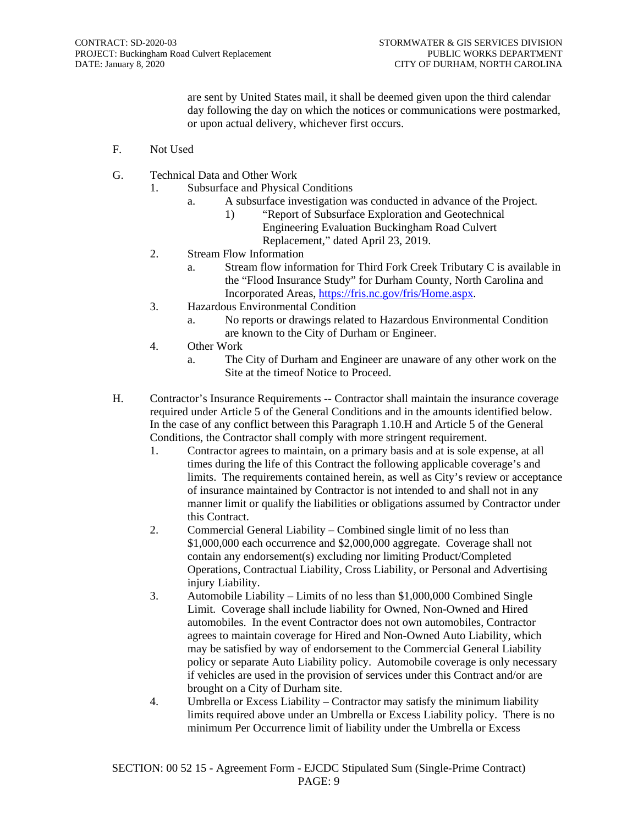are sent by United States mail, it shall be deemed given upon the third calendar day following the day on which the notices or communications were postmarked, or upon actual delivery, whichever first occurs.

- F. Not Used
- G. Technical Data and Other Work
	- 1. Subsurface and Physical Conditions
		- a. A subsurface investigation was conducted in advance of the Project.
			- 1) "Report of Subsurface Exploration and Geotechnical Engineering Evaluation Buckingham Road Culvert Replacement," dated April 23, 2019.
	- 2. Stream Flow Information
		- a. Stream flow information for Third Fork Creek Tributary C is available in the "Flood Insurance Study" for Durham County, North Carolina and Incorporated Areas, [https://fris.nc.gov/fris/Home.aspx.](https://fris.nc.gov/fris/Home.aspx)
	- 3. Hazardous Environmental Condition
		- a. No reports or drawings related to Hazardous Environmental Condition are known to the City of Durham or Engineer.
	- 4. Other Work
		- a. The City of Durham and Engineer are unaware of any other work on the Site at the timeof Notice to Proceed.
- H. Contractor's Insurance Requirements -- Contractor shall maintain the insurance coverage required under Article 5 of the General Conditions and in the amounts identified below. In the case of any conflict between this Paragraph 1.10.H and Article 5 of the General Conditions, the Contractor shall comply with more stringent requirement.
	- 1. Contractor agrees to maintain, on a primary basis and at is sole expense, at all times during the life of this Contract the following applicable coverage's and limits. The requirements contained herein, as well as City's review or acceptance of insurance maintained by Contractor is not intended to and shall not in any manner limit or qualify the liabilities or obligations assumed by Contractor under this Contract.
	- 2. Commercial General Liability Combined single limit of no less than \$1,000,000 each occurrence and \$2,000,000 aggregate. Coverage shall not contain any endorsement(s) excluding nor limiting Product/Completed Operations, Contractual Liability, Cross Liability, or Personal and Advertising injury Liability.
	- 3. Automobile Liability Limits of no less than \$1,000,000 Combined Single Limit. Coverage shall include liability for Owned, Non-Owned and Hired automobiles. In the event Contractor does not own automobiles, Contractor agrees to maintain coverage for Hired and Non-Owned Auto Liability, which may be satisfied by way of endorsement to the Commercial General Liability policy or separate Auto Liability policy. Automobile coverage is only necessary if vehicles are used in the provision of services under this Contract and/or are brought on a City of Durham site.
	- 4. Umbrella or Excess Liability Contractor may satisfy the minimum liability limits required above under an Umbrella or Excess Liability policy. There is no minimum Per Occurrence limit of liability under the Umbrella or Excess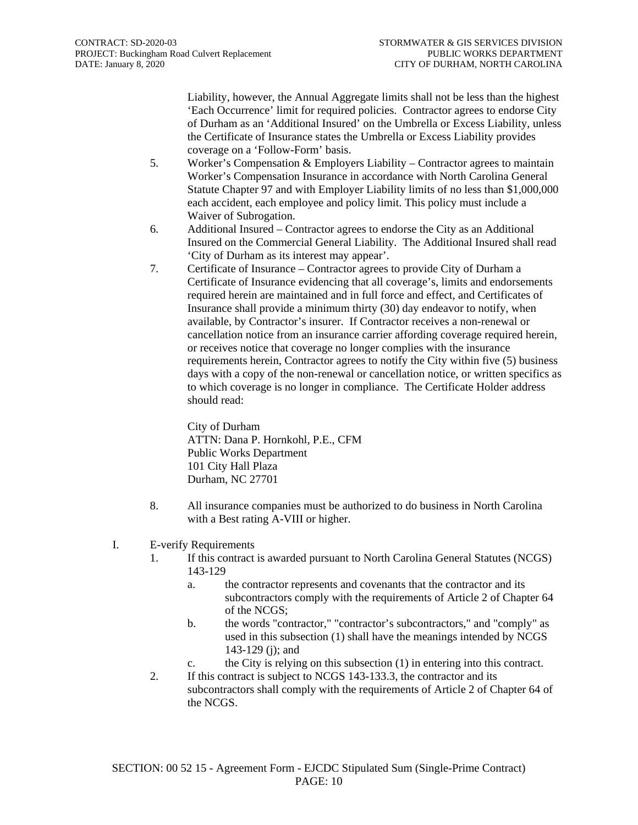Liability, however, the Annual Aggregate limits shall not be less than the highest 'Each Occurrence' limit for required policies. Contractor agrees to endorse City of Durham as an 'Additional Insured' on the Umbrella or Excess Liability, unless the Certificate of Insurance states the Umbrella or Excess Liability provides coverage on a 'Follow-Form' basis.

- 5. Worker's Compensation & Employers Liability Contractor agrees to maintain Worker's Compensation Insurance in accordance with North Carolina General Statute Chapter 97 and with Employer Liability limits of no less than \$1,000,000 each accident, each employee and policy limit. This policy must include a Waiver of Subrogation.
- 6. Additional Insured Contractor agrees to endorse the City as an Additional Insured on the Commercial General Liability. The Additional Insured shall read 'City of Durham as its interest may appear'.
- 7. Certificate of Insurance Contractor agrees to provide City of Durham a Certificate of Insurance evidencing that all coverage's, limits and endorsements required herein are maintained and in full force and effect, and Certificates of Insurance shall provide a minimum thirty (30) day endeavor to notify, when available, by Contractor's insurer. If Contractor receives a non-renewal or cancellation notice from an insurance carrier affording coverage required herein, or receives notice that coverage no longer complies with the insurance requirements herein, Contractor agrees to notify the City within five (5) business days with a copy of the non-renewal or cancellation notice, or written specifics as to which coverage is no longer in compliance. The Certificate Holder address should read:

City of Durham ATTN: Dana P. Hornkohl, P.E., CFM Public Works Department 101 City Hall Plaza Durham, NC 27701

- 8. All insurance companies must be authorized to do business in North Carolina with a Best rating A-VIII or higher.
- I. E-verify Requirements
	- 1. If this contract is awarded pursuant to North Carolina General Statutes (NCGS) 143-129
		- a. the contractor represents and covenants that the contractor and its subcontractors comply with the requirements of Article 2 of Chapter 64 of the NCGS;
		- b. the words "contractor," "contractor's subcontractors," and "comply" as used in this subsection (1) shall have the meanings intended by NCGS 143-129 (j); and
		- c. the City is relying on this subsection (1) in entering into this contract.
	- 2. If this contract is subject to NCGS 143-133.3, the contractor and its subcontractors shall comply with the requirements of Article 2 of Chapter 64 of the NCGS.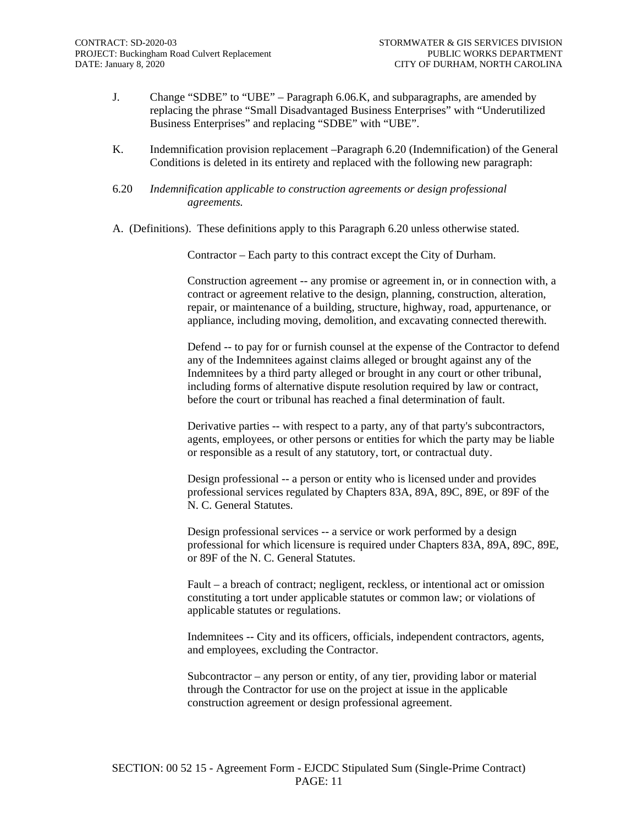- J. Change "SDBE" to "UBE" Paragraph 6.06.K, and subparagraphs, are amended by replacing the phrase "Small Disadvantaged Business Enterprises" with "Underutilized Business Enterprises" and replacing "SDBE" with "UBE".
- K. Indemnification provision replacement –Paragraph 6.20 (Indemnification) of the General Conditions is deleted in its entirety and replaced with the following new paragraph:
- 6.20 *Indemnification applicable to construction agreements or design professional agreements.*
- A. (Definitions). These definitions apply to this Paragraph 6.20 unless otherwise stated.

Contractor – Each party to this contract except the City of Durham.

Construction agreement -- any promise or agreement in, or in connection with, a contract or agreement relative to the design, planning, construction, alteration, repair, or maintenance of a building, structure, highway, road, appurtenance, or appliance, including moving, demolition, and excavating connected therewith.

Defend -- to pay for or furnish counsel at the expense of the Contractor to defend any of the Indemnitees against claims alleged or brought against any of the Indemnitees by a third party alleged or brought in any court or other tribunal, including forms of alternative dispute resolution required by law or contract, before the court or tribunal has reached a final determination of fault.

Derivative parties -- with respect to a party, any of that party's subcontractors, agents, employees, or other persons or entities for which the party may be liable or responsible as a result of any statutory, tort, or contractual duty.

Design professional -- a person or entity who is licensed under and provides professional services regulated by Chapters 83A, 89A, 89C, 89E, or 89F of the N. C. General Statutes.

Design professional services -- a service or work performed by a design professional for which licensure is required under Chapters 83A, 89A, 89C, 89E, or 89F of the N. C. General Statutes.

Fault – a breach of contract; negligent, reckless, or intentional act or omission constituting a tort under applicable statutes or common law; or violations of applicable statutes or regulations.

Indemnitees -- City and its officers, officials, independent contractors, agents, and employees, excluding the Contractor.

Subcontractor – any person or entity, of any tier, providing labor or material through the Contractor for use on the project at issue in the applicable construction agreement or design professional agreement.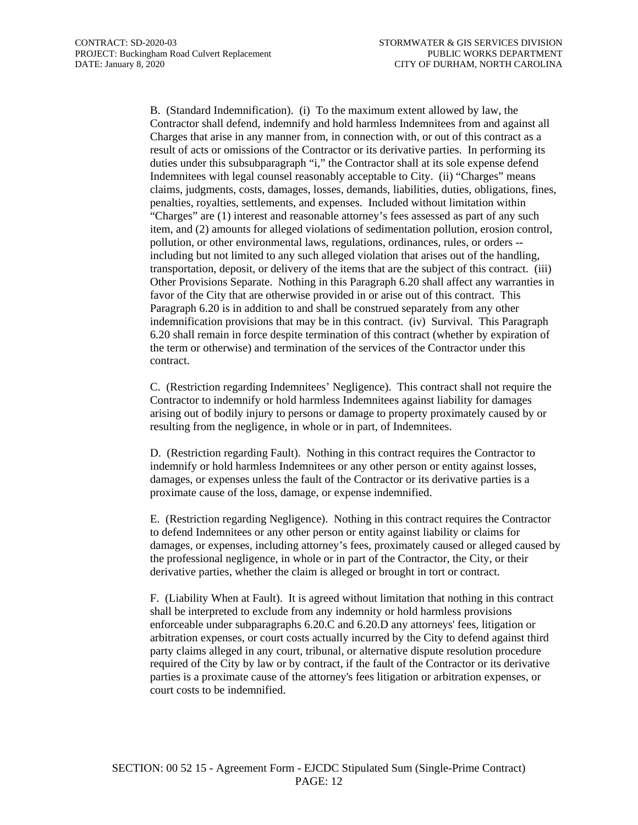B. (Standard Indemnification). (i) To the maximum extent allowed by law, the Contractor shall defend, indemnify and hold harmless Indemnitees from and against all Charges that arise in any manner from, in connection with, or out of this contract as a result of acts or omissions of the Contractor or its derivative parties. In performing its duties under this subsubparagraph "i," the Contractor shall at its sole expense defend Indemnitees with legal counsel reasonably acceptable to City. (ii) "Charges" means claims, judgments, costs, damages, losses, demands, liabilities, duties, obligations, fines, penalties, royalties, settlements, and expenses. Included without limitation within "Charges" are (1) interest and reasonable attorney's fees assessed as part of any such item, and (2) amounts for alleged violations of sedimentation pollution, erosion control, pollution, or other environmental laws, regulations, ordinances, rules, or orders - including but not limited to any such alleged violation that arises out of the handling, transportation, deposit, or delivery of the items that are the subject of this contract. (iii) Other Provisions Separate. Nothing in this Paragraph 6.20 shall affect any warranties in favor of the City that are otherwise provided in or arise out of this contract. This Paragraph 6.20 is in addition to and shall be construed separately from any other indemnification provisions that may be in this contract. (iv) Survival. This Paragraph 6.20 shall remain in force despite termination of this contract (whether by expiration of the term or otherwise) and termination of the services of the Contractor under this contract.

C. (Restriction regarding Indemnitees' Negligence). This contract shall not require the Contractor to indemnify or hold harmless Indemnitees against liability for damages arising out of bodily injury to persons or damage to property proximately caused by or resulting from the negligence, in whole or in part, of Indemnitees.

D. (Restriction regarding Fault). Nothing in this contract requires the Contractor to indemnify or hold harmless Indemnitees or any other person or entity against losses, damages, or expenses unless the fault of the Contractor or its derivative parties is a proximate cause of the loss, damage, or expense indemnified.

E. (Restriction regarding Negligence). Nothing in this contract requires the Contractor to defend Indemnitees or any other person or entity against liability or claims for damages, or expenses, including attorney's fees, proximately caused or alleged caused by the professional negligence, in whole or in part of the Contractor, the City, or their derivative parties, whether the claim is alleged or brought in tort or contract.

F. (Liability When at Fault). It is agreed without limitation that nothing in this contract shall be interpreted to exclude from any indemnity or hold harmless provisions enforceable under subparagraphs 6.20.C and 6.20.D any attorneys' fees, litigation or arbitration expenses, or court costs actually incurred by the City to defend against third party claims alleged in any court, tribunal, or alternative dispute resolution procedure required of the City by law or by contract, if the fault of the Contractor or its derivative parties is a proximate cause of the attorney's fees litigation or arbitration expenses, or court costs to be indemnified.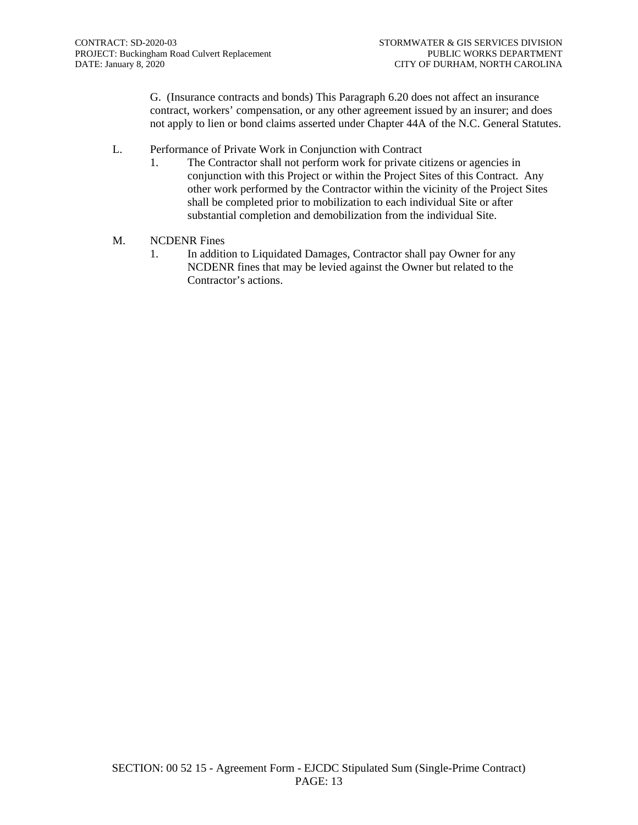G. (Insurance contracts and bonds) This Paragraph 6.20 does not affect an insurance contract, workers' compensation, or any other agreement issued by an insurer; and does not apply to lien or bond claims asserted under Chapter 44A of the N.C. General Statutes.

- L. Performance of Private Work in Conjunction with Contract
	- 1. The Contractor shall not perform work for private citizens or agencies in conjunction with this Project or within the Project Sites of this Contract. Any other work performed by the Contractor within the vicinity of the Project Sites shall be completed prior to mobilization to each individual Site or after substantial completion and demobilization from the individual Site.
- M. NCDENR Fines
	- 1. In addition to Liquidated Damages, Contractor shall pay Owner for any NCDENR fines that may be levied against the Owner but related to the Contractor's actions.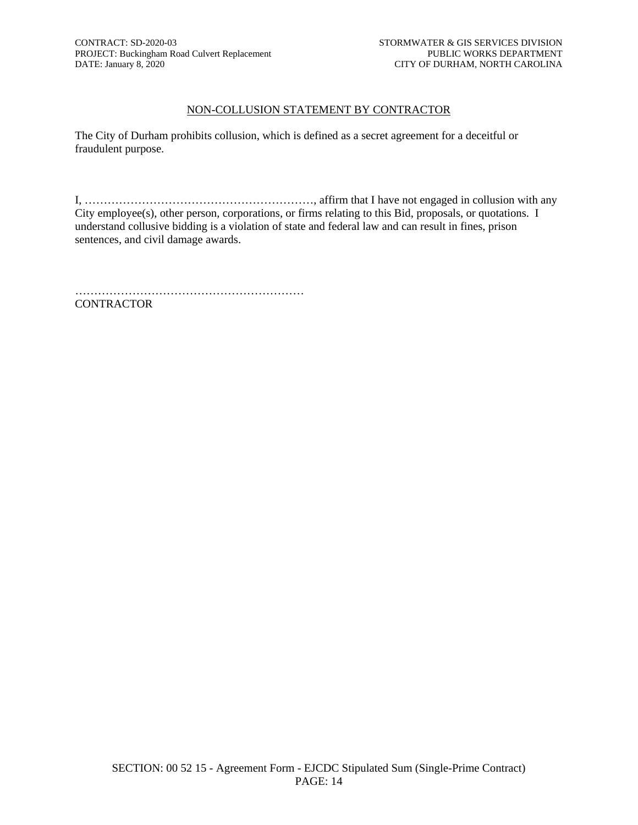#### NON-COLLUSION STATEMENT BY CONTRACTOR

The City of Durham prohibits collusion, which is defined as a secret agreement for a deceitful or fraudulent purpose.

I, ……………………………………………………, affirm that I have not engaged in collusion with any City employee(s), other person, corporations, or firms relating to this Bid, proposals, or quotations. I understand collusive bidding is a violation of state and federal law and can result in fines, prison sentences, and civil damage awards.

…………………………………………………… CONTRACTOR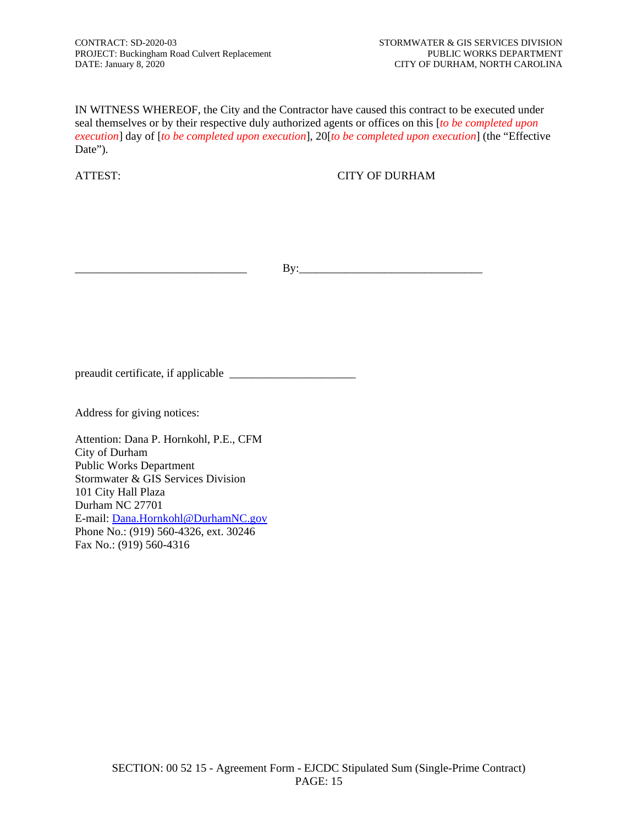IN WITNESS WHEREOF, the City and the Contractor have caused this contract to be executed under seal themselves or by their respective duly authorized agents or offices on this [*to be completed upon execution*] day of [*to be completed upon execution*], 20[*to be completed upon execution*] (the "Effective Date").

ATTEST: CITY OF DURHAM

\_\_\_\_\_\_\_\_\_\_\_\_\_\_\_\_\_\_\_\_\_\_\_\_\_\_\_\_\_\_ By:\_\_\_\_\_\_\_\_\_\_\_\_\_\_\_\_\_\_\_\_\_\_\_\_\_\_\_\_\_\_\_\_

preaudit certificate, if applicable \_\_\_\_\_\_\_\_\_\_\_\_\_\_\_\_\_\_\_\_\_\_

Address for giving notices:

Attention: Dana P. Hornkohl, P.E., CFM City of Durham Public Works Department Stormwater & GIS Services Division 101 City Hall Plaza Durham NC 27701 E-mail: [Dana.Hornkohl@DurhamNC.gov](mailto:Dana.Hornkohl@DurhamNC.gov) Phone No.: (919) 560-4326, ext. 30246 Fax No.: (919) 560-4316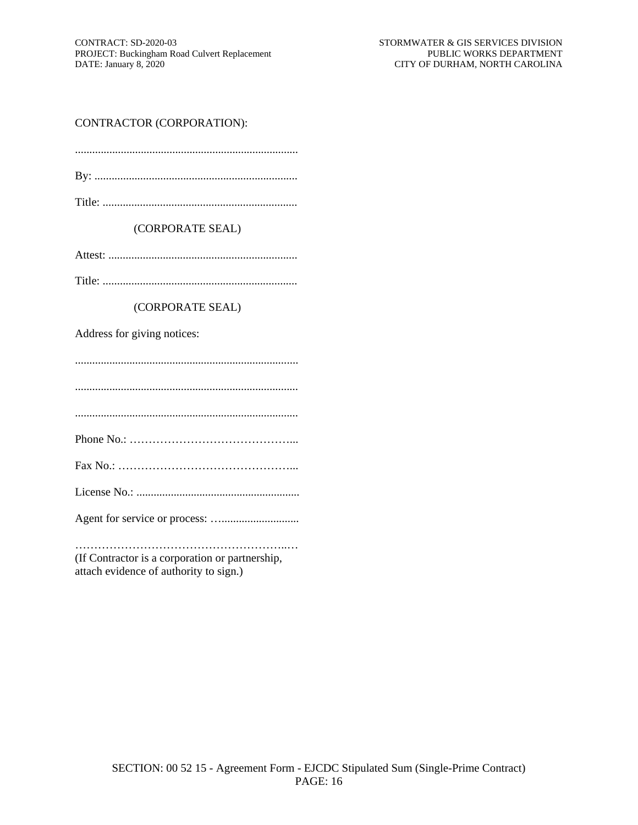### CONTRACTOR (CORPORATION):

| DV |  |  |
|----|--|--|

#### (CORPORATE SEAL)

Attest: ..................................................................

Title: ....................................................................

#### (CORPORATE SEAL)

Address for giving notices:

..............................................................................

..............................................................................

..............................................................................

Phone No.: ……………………………………...

Fax No.: ………………………………………...

License No.: .........................................................

Agent for service or process: …...........................

………………………………………………..… (If Contractor is a corporation or partnership, attach evidence of authority to sign.)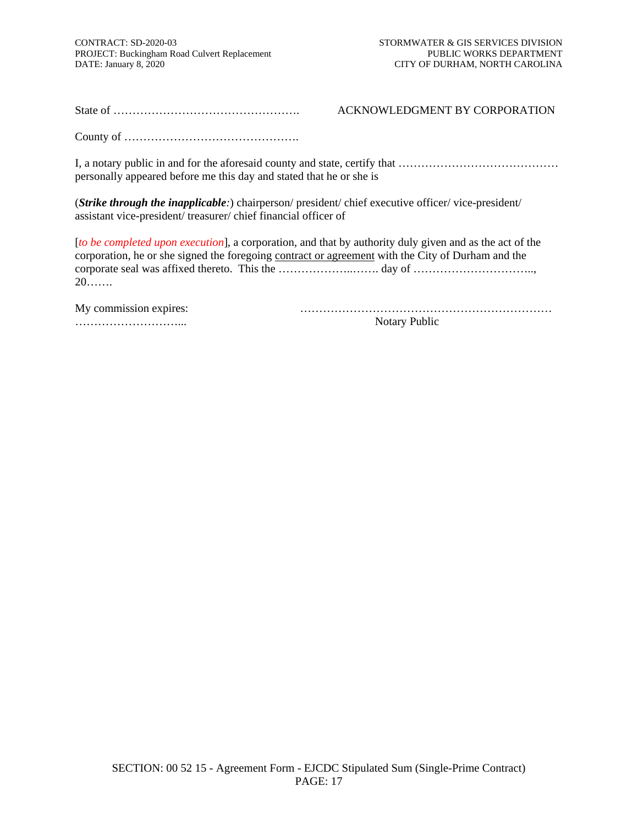State of …………………………………………. ACKNOWLEDGMENT BY CORPORATION

County of ……………………………………….

I, a notary public in and for the aforesaid county and state, certify that …………………………………… personally appeared before me this day and stated that he or she is

(*Strike through the inapplicable:*) chairperson/ president/ chief executive officer/ vice-president/ assistant vice-president/ treasurer/ chief financial officer of

[*to be completed upon execution*], a corporation, and that by authority duly given and as the act of the corporation, he or she signed the foregoing contract or agreement with the City of Durham and the corporate seal was affixed thereto. This the …………………………… day of …………………………………………… 20…….

| My commission expires: |
|------------------------|
|                        |

………………………... Notary Public

My commission expires: …………………………………………………………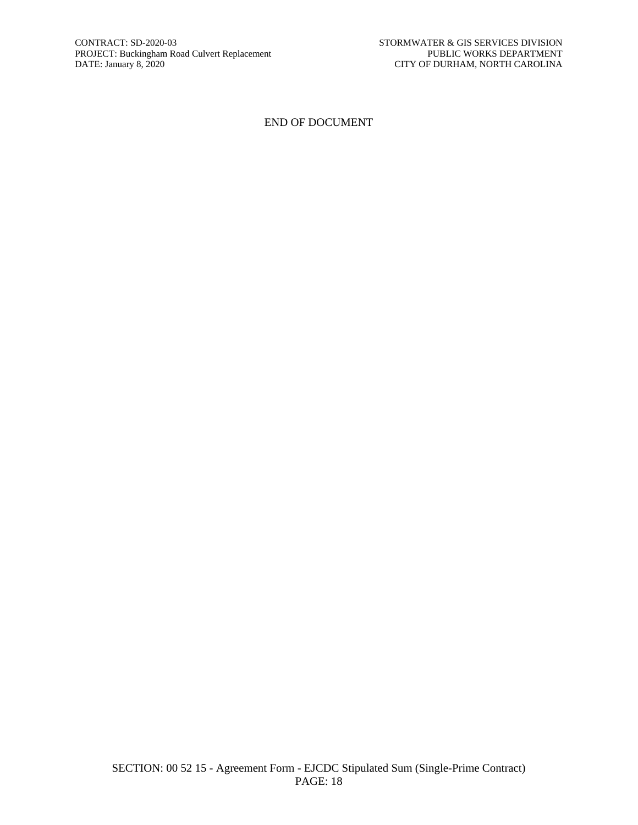#### END OF DOCUMENT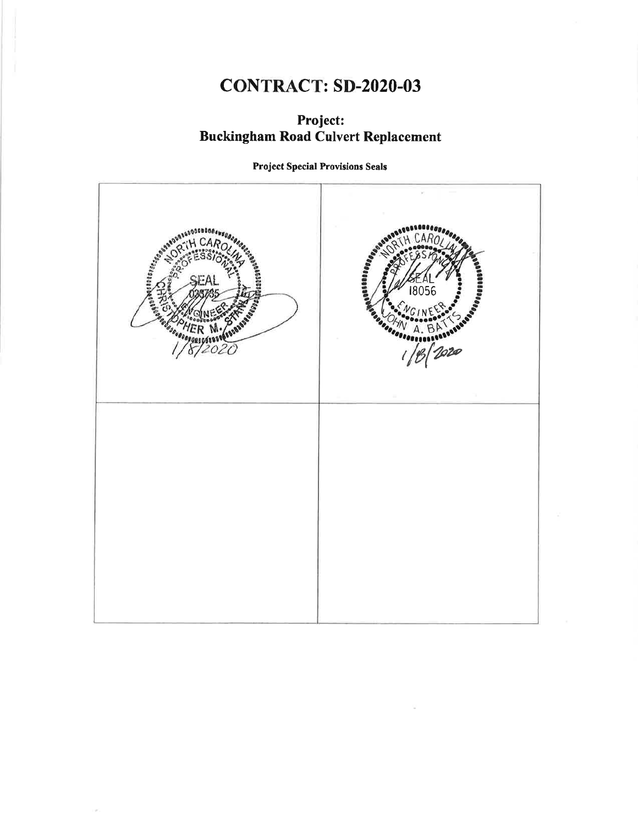# **CONTRACT: SD-2020-03**

# Project: **Buckingham Road Culvert Replacement**

**Project Special Provisions Seals** 

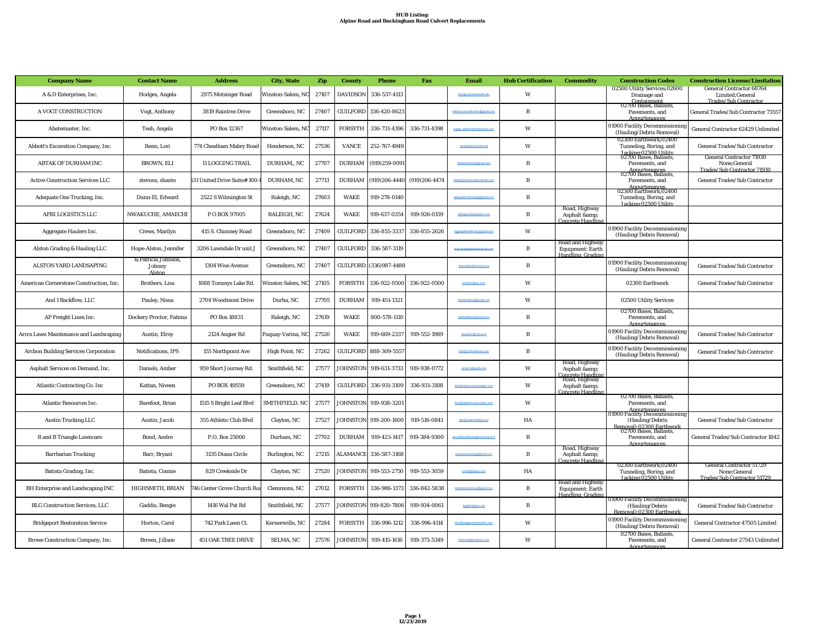| <b>Company Name</b>                         | <b>Contact Name</b>                     | <b>Address</b>                       | <b>City, State</b> | Zip   | <b>County</b>   | <b>Phone</b>           | Fax               | Email                          | <b>Hub Certification</b> | <b>Commodity</b>                                                            | <b>Construction Codes</b>                                                     | <b>Construction License/Limitation</b>                                              |
|---------------------------------------------|-----------------------------------------|--------------------------------------|--------------------|-------|-----------------|------------------------|-------------------|--------------------------------|--------------------------|-----------------------------------------------------------------------------|-------------------------------------------------------------------------------|-------------------------------------------------------------------------------------|
| A & D Enterprises, Inc.                     | Hodges, Angela                          | 2975 Motsinger Road                  | Winston-Salem, NC  | 27107 | <b>DAVIDSON</b> | 336-537-4113           |                   | he disedesiar Beechods         | W                        |                                                                             | 02500 Utility Services;02600<br>Drainage and                                  | <b>General Contractor 68764</b><br>Limited; General<br><b>Trades/Sub Contractor</b> |
| A VOGT CONSTRUCTION                         | Vogt, Anthony                           | 3819 Raintree Drive                  | Greensboro, NC     | 27407 |                 | GUILFORD 336-420-8623  |                   |                                | $\mathbf{R}$             |                                                                             | Containment<br>02700 Bases, Ballasts,<br>Pavements, and<br>Appurtenances      | General Trades/Sub Contractor 7355                                                  |
| Abatemaster, Inc.                           | Tesh, Angela                            | PO Box 12367                         | Winston-Salem, N   | 27117 | <b>FORSYTH</b>  | 336-731-4396           | 336-731-4398      | angela_abatemaster@yahoo.com   | W                        |                                                                             | 01900 Facility Decommissioning<br>(Hauling/Debris Removal)                    | General Contractor 62429 Unlimited                                                  |
| Abbott's Excavation Company, Inc.           | Renn, Lori                              | 774 Cheatham Mabry Road              | Henderson, NC      | 27536 | <b>VANCE</b>    | 252-767-4949           |                   | remlaw@centurylink.net         | W                        |                                                                             | 02300 Earthwork:02400<br>Tunneling, Boring, and                               | General Trades/Sub Contractor                                                       |
| <b>ABTAK OF DURHAM INC</b>                  | <b>BROWN, ELI</b>                       | 11 LOGGING TRAIL                     | DURHAM,, NC        | 27707 | <b>DURHAM</b>   | $(919)259 - 0091$      |                   |                                | $\mathbf{R}$             |                                                                             | Jacking: 02500 Utility<br>02700 Bases, Ballasts,<br>Pavements, and            | <b>General Contractor 71930</b><br>None;General<br>Trades/Sub Contractor 71930      |
| <b>Active Construction Services LLC</b>     | stevons, shante                         | <b>331 United Drive Suite# 100-I</b> | DURHAM, NC         | 27713 | <b>DURHAM</b>   | $(919)206 - 4440$      | $(919)206 - 4474$ | shante@activ                   | $\overline{B}$           |                                                                             | Annurtenances<br>02700 Bases, Ballasts,<br>Pavements, and<br>Appurtenances    | General Trades/Sub Contractor                                                       |
| Adequate One Trucking, Inc.                 | Dunn-El, Edward                         | 2522 S Wilmington St                 | Raleigh, NC        | 27603 | <b>WAKE</b>     | 919-278-0140           |                   |                                | B                        |                                                                             | 02300 Earthwork;02400<br>Tunneling, Boring, and<br>Jacking:02500 Utility      |                                                                                     |
| <b>AFRI LOGISTICS LLC</b>                   | NWAKUCHE, AMAECHI                       | POBOX 97005                          | RALEIGH, NC        | 27624 | <b>WAKE</b>     | 919-637-0354           | 919-926-0159      |                                | B                        | Road, Highway<br>Asphalt & amp;<br>Concrete Handlins                        |                                                                               |                                                                                     |
| Aggregate Haulers Inc.                      | Crews, Marilyn                          | 415 S. Chimney Road                  | Greensboro, NC     | 27409 | <b>GUILFORD</b> | 336-855-3337           | 336-855-2626      |                                | W                        |                                                                             | 01900 Facility Decommissioning<br>(Hauling/Debris Removal)                    |                                                                                     |
| Alston Grading & Hauling LLC                | Hope-Alston, Jennifer                   | 3206 Lawndale Dr unit J              | Greensboro, NC     | 27407 | <b>GUILFORD</b> | 336-587-3119           |                   | alstongradinghauling@gmail.com | $\, {\bf B}$             | Road and Highway<br>Equipment: Earth<br>Handling, Grading                   |                                                                               |                                                                                     |
| ALSTON YARD LANDSAPING                      | & Patricia Johnson,<br>Johnny<br>Alston | 1304 Wise Avenue                     | Greensboro, NC     | 27407 |                 | GUILFORD (336)987-4488 |                   | alstonsland@hotmail.com        | B                        |                                                                             | 01900 Facility Decommissioning<br>(Hauling/Debris Removal)                    | General Trades/Sub Contractor                                                       |
| American Cornerstone Construction, Inc.     | Brothers, Lisa                          | 1088 Tommys Lake Rd.                 | Winston Salem, NC  | 27105 | <b>FORSYTH</b>  | 336-922-0500           | 336-922-0500      | brothers!@two.com              | W                        |                                                                             | 02300 Earthwork                                                               | General Trades/Sub Contractor                                                       |
| And 1 Backflow, LLC                         | Pauley, Nissa                           | 2704 Woodmont Drive                  | Durha, NC          | 27705 | <b>DURHAM</b>   | 919-451-1321           |                   |                                | W                        |                                                                             | 02500 Utility Services                                                        |                                                                                     |
| AP Freight Lines Inc.                       | Dockery Proctor, Fatima                 | PO Box 18831                         | Raleigh, NC        | 27619 | <b>WAKE</b>     | 800-578-1110           |                   |                                | B                        |                                                                             | 02700 Bases, Ballasts,<br>Pavements, and<br>Annurtenances                     |                                                                                     |
| Arccs Lawn Maintenance and Landscaping      | Austin, Elroy                           | 2124 Angier Rd                       | Fuquay-Varina, NC  | 27526 | <b>WAKE</b>     | 919-669-2337           | 919-552-1989      | eaustin57@msn.com              | B                        |                                                                             | 01900 Facility Decommissioning<br>(Hauling/Debris Removal)                    | General Trades/Sub Contractor                                                       |
| <b>Archon Building Services Corporation</b> | Notifications, IPS                      | 155 Northpoint Ave                   | High Point, NC     | 27262 |                 | GUILFORD 888-309-5557  |                   | info@archonservice.com         | B                        |                                                                             | 01900 Facility Decommissioning<br>(Hauling/Debris Removal)                    | General Trades/Sub Contractor                                                       |
| Asphalt Services on Demand, Inc.            | Daniels, Amber                          | 959 Short Journey Rd.                | Smithfield, NC     | 27577 | <b>JOHNSTON</b> | 919-631-3733           | 919-938-0772      | amber.d@asdinc.net             | W                        | Road, Highway<br>Asphalt &                                                  |                                                                               |                                                                                     |
| <b>Atlantic Contracting Co. Inc</b>         | Kattan, Niveen                          | PO BOX 49559                         | Greensboro, NC     | 27419 | <b>GUILFORD</b> | 336-931-3109           | 336-931-3108      |                                | W                        | Concrete Handline<br>Road, Highway<br>Asphalt &<br><b>Concrete Handling</b> |                                                                               |                                                                                     |
| Atlantic Resources Inc.                     | Barefoot, Brian                         | 1515 S Bright Leaf Blvd              | SMITHFIELD, NC     | 27577 |                 | JOHNSTON 919-938-3201  |                   |                                | W                        |                                                                             | 02700 Bases, Ballasts,<br>Pavements, and<br>Appurtenances                     |                                                                                     |
| <b>Austin Trucking LLC</b>                  | Austin, Jacob                           | 355 Athletic Club Blvd               | Clayton, NC        | 27527 |                 | JOHNSTON 919-200-1600  | 919-516-0841      | lake@austintrucking.com        | HA                       |                                                                             | 01900 Facility Decommissioning<br>(Hauling/Debris<br>Removal):02300 Farthwork | General Trades/Sub Contractor                                                       |
| <b>B</b> and <b>B</b> Triangle Lawncare     | Bond, Andre                             | P.O. Box 25006                       | Durham, NC         | 27702 | <b>DURHAM</b>   | 919-423-1417           | 919-384-9300      | abond@bandbtriang<br>care.com  | B                        |                                                                             | 02700 Bases, Ballasts,<br>Pavements, and<br>Annurtenances                     | General Trades/Sub Contractor 1842                                                  |
| <b>Barrbarian Trucking</b>                  | Barr, Bryant                            | 3135 Diana Circle                    | Burlington, NC     | 27215 |                 | ALAMANCE 336-587-3168  |                   |                                | $\overline{B}$           | Road, Highway<br>Asphalt &<br>Concrete Handling                             |                                                                               |                                                                                     |
| Batista Grading, Inc.                       | Batista, Connie                         | 829 Creekside Dr                     | Clayton, NC        | 27520 | JOHNSTON        | 919-553-2750           | 919-553-3059      | cornie@bgsus.com               | HA                       |                                                                             | 02300 Earthwork;02400<br>Tunneling, Boring, and<br>Jacking:02500 Utility      | <b>General Contractor 51729</b><br>None;General<br>Trades/Sub Contractor 51729      |
| <b>BH Enterprise and Landscaping INC</b>    | HIGHSMITH, BRIAN                        | 46 Center Grove Church Roa           | Clemmons, NC       | 27012 | <b>FORSYTH</b>  | 336-986-1373           | 336-842-5838      |                                | $\, {\bf B}$             | Road and Highway<br><b>Equipment: Earth</b><br>Handling, Grading            |                                                                               |                                                                                     |
| <b>BLG Construction Services, LLC</b>       | Gaddis, Bengie                          | 1416 Wal Pat Rd                      | Smithfield, NC     | 27577 |                 | JOHNSTON 919-820-7806  | 919-934-0061      | boaddis Ricso.on               | B                        |                                                                             | 01900 Facility Decommissioning<br>(Hauling/Debris<br>Removal):02300 Earthwork | General Trades/Sub Contractor                                                       |
| <b>Bridgeport Restoration Service</b>       | Horton, Carol                           | 742 Park Lawn Ct.                    | Kernersville, NC   | 27284 | <b>FORSYTH</b>  | 336-996-1212           | 336-996-4114      | info (                         | W                        |                                                                             | 01900 Facility Decommissioning<br>(Hauling/Debris Removal)                    | <b>General Contractor 47505 Limited</b>                                             |
| Browe Construction Company, Inc.            | Brown, Jillane                          | <b>451 OAK TREE DRIVE</b>            | SELMA, NC          | 27576 | <b>JOHNSTON</b> | 919-415-1616           | 919-373-5349      |                                | W                        |                                                                             | 02700 Bases, Ballasts,<br>Pavements, and<br>Annurtenances                     | General Contractor 27543 Unlimited                                                  |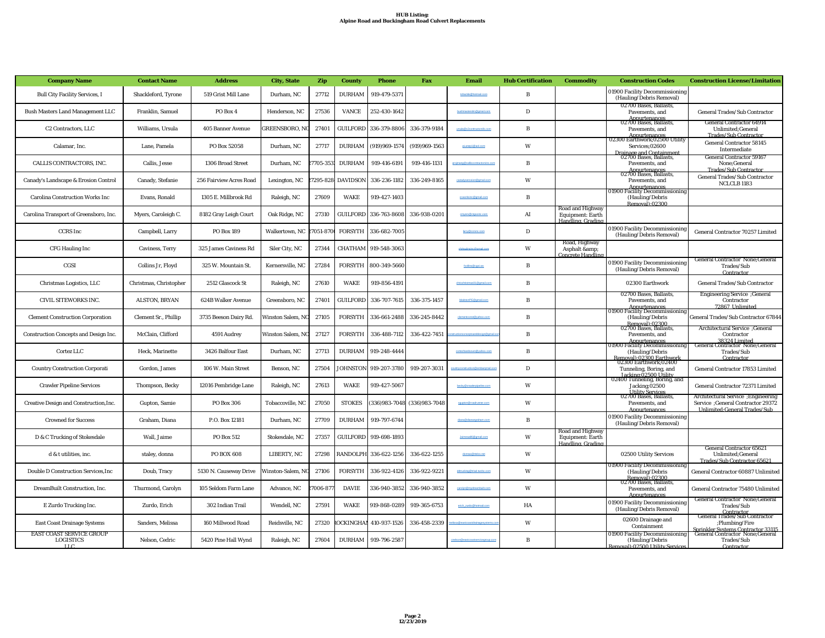#### **HUB Listing: Alpine Road and Buckingham Road Culvert Replacements**

| <b>Company Name</b>                                         | <b>Contact Name</b>    | <b>Address</b>           | <b>City, State</b>   | Zip      | <b>County</b>    | <b>Phone</b>          | Fax                           | Email                       | <b>Hub Certification</b> | <b>Commodity</b>                                                 | <b>Construction Codes</b>                                                                            | <b>Construction License/Limitation</b>                                                                    |
|-------------------------------------------------------------|------------------------|--------------------------|----------------------|----------|------------------|-----------------------|-------------------------------|-----------------------------|--------------------------|------------------------------------------------------------------|------------------------------------------------------------------------------------------------------|-----------------------------------------------------------------------------------------------------------|
| <b>Bull City Facility Services, I</b>                       | Shackleford, Tyrone    | 519 Grist Mill Lane      | Durham, NC           | 27712    | <b>DURHAM</b>    | 919-479-5371          |                               | tshackle Rhotmail.cor       | B                        |                                                                  | 01900 Facility Decommissioning<br>(Hauling/Debris Removal)                                           |                                                                                                           |
| <b>Bush Masters Land Management LLC</b>                     | Franklin, Samuel       | PO Box 4                 | Henderson, NC        | 27536    | <b>VANCE</b>     | 252-430-1642          |                               |                             | D                        |                                                                  | 02700 Bases, Ballasts,<br>Pavements, and                                                             | <b>General Trades/Sub Contractor</b>                                                                      |
| C <sub>2</sub> Contractors, LLC                             | Williams, Ursula       | 405 Banner Avenue        | <b>GREENSBORO, N</b> | 27401    |                  | GUILFORD 336-379-8806 | 336-379-9184                  | ursula@c2contractorslic.com | $\, {\bf B}$             |                                                                  | Appurtenances<br>02700 Bases, Ballasts,<br>Pavements, and                                            | <b>General Contractor 64914</b><br>Unlimited;General<br><b>Trades/Sub Contractor</b>                      |
| Calamar, Inc.                                               | Lane, Pamela           | PO Box 52058             | Durham, NC           | 27717    | <b>DURHAM</b>    | (919)969-1574         | (919)969-1563                 | pLanep1@aol.com             | W                        |                                                                  | Appurtenances<br>02300 Earthwork;02500 Utility<br>Services:02600                                     | <b>General Contractor 58145</b><br>Intermediate                                                           |
| CALLIS CONTRACTORS. INC.                                    | Callis. Jesse          | <b>1306 Broad Street</b> | Durham, NC           | 7705-353 | <b>DURHAM</b>    | 919-416-6191          | 919-416-1131                  | projmang@calliso            | B                        |                                                                  | Drainage and Containment<br>02700 Bases, Ballasts,<br>Pavements, and                                 | <b>General Contractor 59167</b><br>None:General<br><b>Trades/Sub Contractor</b>                           |
| Canady's Landscape & Erosion Control                        | Canady, Stefanie       | 256 Fairview Acres Road  | Lexington, NC        | 7295-828 | <b>DAVIDSON</b>  | 336-236-1182          | 336-249-8165                  |                             | W                        |                                                                  | Annurtenances<br>02700 Bases, Ballasts,<br>Pavements, and<br>Appurtenances                           | <b>General Trades/Sub Contractor</b><br>NCLCLB <sub>1183</sub>                                            |
| <b>Carolina Construction Works Inc</b>                      | Evans, Ronald          | 1305 E. Millbrook Rd     | Raleigh, NC          | 27609    | <b>WAKE</b>      | 919-427-1403          |                               | coworksing@gmail.com        | $\, {\bf B}$             |                                                                  | 01900 Facility Decommissioning<br>(Hauling/Debris<br>Removal1:02300                                  |                                                                                                           |
| Carolina Transport of Greensboro, Inc.                      | Myers, Caroleigh C.    | 8182 Gray Leigh Court    | Oak Ridge, NC        | 27310    | <b>GUILFORD</b>  | 336-763-8608          | 336-938-0201                  | cmyers R ctasoinc.com       | AI                       | Road and Highway<br><b>Equipment: Earth</b><br>Handling, Grading |                                                                                                      |                                                                                                           |
| <b>CCRS</b> Inc                                             | Campbell, Larry        | <b>PO Box 189</b>        | Walkertown, NC       | 7051-870 | <b>FORSYTH</b>   | 336-682-7005          |                               | larry@corsno.com            | D                        |                                                                  | 01900 Facility Decommissioning<br>(Hauling/Debris Removal)                                           | General Contractor 70257 Limited                                                                          |
| <b>CFG Hauling Inc</b>                                      | Caviness, Terry        | 325 James Caviness Rd    | Siler City, NC       | 27344    | <b>CHATHAM</b>   | 919-548-3063          |                               | cfghaulingin:@gmail.com     | W                        | Road, Highway<br>Asphalt & amp;<br>Concrete Handlin              |                                                                                                      |                                                                                                           |
| CGSI                                                        | Collins Jr, Floyd      | 325 W. Mountain St.      | Kernersville, NC     | 27284    | <b>FORSYTH</b>   | 800-349-5660          |                               | fcollins@cgsi.ws            | $\, {\bf B}$             |                                                                  | 01900 Facility Decommissioning<br>(Hauling/Debris Removal)                                           | <b>General Contractor None; General</b><br>Trades/Sub<br>Contractor                                       |
| Christmas Logistics, LLC                                    | Christmas, Christopher | 2512 Glascock St         | Raleigh, NC          | 27610    | <b>WAKE</b>      | 919-856-4191          |                               |                             | $\, {\bf B}$             |                                                                  | 02300 Earthwork                                                                                      | General Trades/Sub Contractor                                                                             |
| CIVIL SITEWORKS INC.                                        | <b>ALSTON, BRYAN</b>   | 624B Walker Avenue       | Greensboro, NC       | 27401    | <b>GUILFORD</b>  | 336-707-7615          | 336-375-1457                  | NaistonPE Romail.com        | $\, {\bf B}$             |                                                                  | 02700 Bases, Ballasts.<br>Pavements, and<br><b>Appurtenances</b>                                     | Engineering Service ;General<br>Contractor<br>72867 Unlimited                                             |
| <b>Clement Construction Corporation</b>                     | Clement Sr., Phillip   | 3735 Beeson Dairy Rd.    | Winston Salem, N     | 27105    | <b>FORSYTH</b>   | 336-661-2488          | 336-245-8442                  |                             | B                        |                                                                  | 01900 Facility Decommissioning<br>(Hauling/Debris                                                    | General Trades/Sub Contractor 67844                                                                       |
| Construction Concepts and Design Inc.                       | McClain, Clifford      | 4591 Audrey              | Winston Salem, N     | 27127    | <b>FORSYTH</b>   | 336-488-7112          | 336-422-7451                  |                             | B                        |                                                                  | Removal):02300<br>02700 Bases, Ballasts,<br>Pavements, and                                           | General Service ;General<br>Contractor                                                                    |
| Cortez LLC                                                  | Heck, Marinette        | 3426 Balfour East        | Durham, NC           | 27713    | <b>DURHAM</b>    | 919-248-4444          |                               |                             | B                        |                                                                  | Appurtenances<br>01900 Facility Decommissioning<br>(Hauling/Debris                                   | 38324 Limited<br>General Contractor None;General<br>Trades/Sub<br>Contractor                              |
| <b>Country Construction Corporati</b>                       | Gordon, James          | 106 W. Main Street       | Benson, NC           | 27504    | <b>JOHNSTON</b>  | 919-207-3780          | 919-207-3031                  |                             | D                        |                                                                  | Removal):02300 Earthwork<br>02300 Earthwork;02400<br>Tunneling, Boring, and<br>Jacking:02500 Utility | General Contractor 17853 Limited                                                                          |
| <b>Crawler Pipeline Services</b>                            | Thompson, Becky        | 12016 Pembridge Lane     | Raleigh, NC          | 27613    | <b>WAKE</b>      | 919-427-5067          |                               | becky Rice                  | W                        |                                                                  | 02400 Tunneling, Boring, and<br><b>Jacking</b> ; 02500<br><b>Utility Services</b>                    | General Contractor 72371 Limited                                                                          |
| Creative Design and Construction, Inc.                      | Gupton, Samie          | PO Box 306               | Tobaccoville, NC     | 27050    | <b>STOKES</b>    |                       | (336) 983-7048 (336) 983-7048 |                             | W                        |                                                                  | 02700 Bases, Ballasts,<br>Pavements, and<br>Appurtenances                                            | Architectural Service ; Engineering<br>Service : General Contractor 29372<br>Unlimited:General Trades/Sub |
| <b>Crowned for Success</b>                                  | Graham, Diana          | P.O. Box 12181           | Durham, NC           | 27709    | <b>DURHAM</b>    | 919-797-6744          |                               |                             | $\, {\bf B}$             |                                                                  | 01900 Facility Decommissioning<br>(Hauling/Debris Removal)                                           |                                                                                                           |
| D & C Trucking of Stokesdale                                | Wall, Jaime            | PO Box 512               | Stokesdale, NC       | 27357    | <b>GUILFORD</b>  | 919-698-1893          |                               | Jaimewall6@gmail.com        | W                        | Road and Highway<br>Equipment: Earth<br>Handling Grading         |                                                                                                      |                                                                                                           |
| d & t utilities, inc.                                       | staley, donna          | PO BOX 608               | LIBERTY, NC          | 27298    | RANDOLPH         | 336-622-1256          | 336-622-1255                  | donnas@itelco.net           | W                        |                                                                  | 02500 Utility Services                                                                               | <b>General Contractor 65621</b><br>Unlimited; General<br>Trades/Sub Contractor 65621                      |
| Double D Construction Services, Inc                         | Doub, Tracy            | 5130 N. Causeway Drive   | Vinston-Salem, N     | 27106    | <b>FORSYTH</b>   | 336-922-4126          | 336-922-9221                  | ddtrucking@triad.twcbc.com  | W                        |                                                                  | 01900 Facility Decommissioning<br>(Hauling/Debris                                                    | General Contractor 60887 Unlimited                                                                        |
| <b>DreamBuilt Construction, Inc.</b>                        | Thurmond, Carolyn      | 105 Seldom Farm Lane     | Advance, NC          | 7006-87  | <b>DAVIE</b>     | 336-940-3852          | 336-940-3852                  |                             | W                        |                                                                  | Removal):02300<br>02700 Bases, Ballasts,<br>Pavements, and<br>Appurtenances                          | General Contractor 75480 Unlimited                                                                        |
| E Zurdo Trucking Inc.                                       | Zurdo, Erich           | 302 Indian Trail         | Wendell, NC          | 27591    | <b>WAKE</b>      | 919-868-0289          | 919-365-6753                  | erich zurdo@hotmail.c       | HA                       |                                                                  | 01900 Facility Decommissioning<br>(Hauling/Debris Removal)                                           | <b>General Contractor None;General</b><br>Trades/Sub                                                      |
| <b>East Coast Drainage Systems</b>                          | Sanders, Melissa       | 160 Millwood Road        | Reidsville, NC       | 27320    | <b>OCKINGHAN</b> | 410-937-1526          | 336-458-2339                  |                             | W                        |                                                                  | 02600 Drainage and<br>Containment                                                                    | Contractor<br>General Trades/Sub Contractor<br>;Plumbing/Fire<br>Sprinkler Systems Contractor 33115       |
| <b>EAST COAST SERVICE GROUP</b><br><b>LOGISTICS</b><br>LLC. | Nelson, Cedric         | 5420 Pine Hall Wynd      | Raleigh, NC          | 27604    | <b>DURHAM</b>    | 919-796-2587          |                               |                             | B                        |                                                                  | 01900 Facility Decommissioning<br>(Hauling/Debris<br>val):02500 Utility Servic                       | <b>General Contractor None; General</b><br>Trades/Sub<br>Contractor                                       |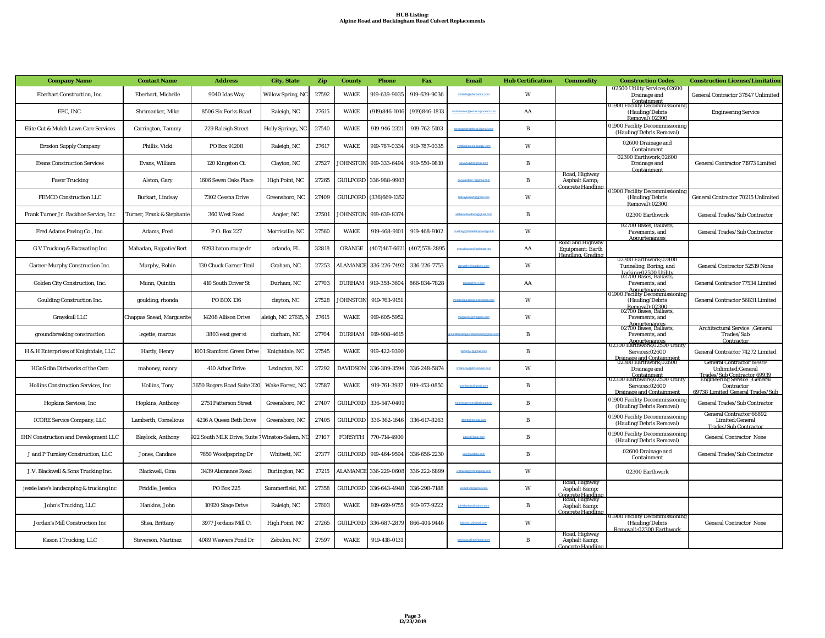| <b>Company Name</b>                         | <b>Contact Name</b>        | <b>Address</b>                    | <b>City, State</b>        | Zip   | <b>County</b>   | <b>Phone</b>           | <b>Fax</b>        | Email                         | <b>Hub Certification</b> | <b>Commodity</b>                                                 | <b>Construction Codes</b>                                                                   | <b>Construction License/Limitation</b>                                                                               |
|---------------------------------------------|----------------------------|-----------------------------------|---------------------------|-------|-----------------|------------------------|-------------------|-------------------------------|--------------------------|------------------------------------------------------------------|---------------------------------------------------------------------------------------------|----------------------------------------------------------------------------------------------------------------------|
| Eberhart Construction, Inc.                 | Eberhart, Michelle         | 9040 Idas Way                     | Willow Spring, NC         | 27592 | <b>WAKE</b>     | 919-639-9035           | 919-639-9036      | michelle@eberharting.co       | W                        |                                                                  | 02500 Utility Services;02600<br>Drainage and<br><u>Containment</u>                          | General Contractor 37847 Unlimited                                                                                   |
| EEC. INC.                                   | Shrimanker, Mike           | 8506 Six Forks Road               | Raleigh, NC               | 27615 | <b>WAKE</b>     | $(919)846 - 1016$      | $(919)846 - 1813$ |                               | AA                       |                                                                  | 01900 Facility Decommissioning<br>(Hauling/Debris<br>Removal):02300                         | <b>Engineering Service</b>                                                                                           |
| Elite Cut & Mulch Lawn Care Services        | Carrington, Tammy          | 229 Raleigh Street                | <b>Holly Springs</b> , NC | 27540 | <b>WAKE</b>     | 919-946-2321           | 919-762-5103      | eltecutandmulchics1@gmail.com | B                        |                                                                  | 01900 Facility Decommissioning<br>(Hauling/Debris Removal)                                  |                                                                                                                      |
| <b>Erosion Supply Company</b>               | Phillis. Vicki             | PO Box 91208                      | Raleigh, NC               | 27617 | <b>WAKE</b>     | 919-787-0334           | 919-787-0335      | vphillis@erosionsupply.com    | W                        |                                                                  | 02600 Drainage and<br>Containment                                                           |                                                                                                                      |
| <b>Evans Construction Services</b>          | Evans, William             | 120 Kingston Ct.                  | Clayton, NC               | 27527 | <b>IOHNSTON</b> | 919-333-6494           | 919-550-9810      | wevans120@gmail.com           | B                        |                                                                  | 02300 Earthwork;02600<br>Drainage and<br>Containment                                        | General Contractor 71973 Limited                                                                                     |
| <b>Favor Trucking</b>                       | Alston, Gary               | 1606 Seven Oaks Place             | High Point, NC            | 27265 |                 | GUILFORD 336-988-9903  |                   | carvealston77@gmail.com       | $\, {\bf B}$             | Road, Highway<br>Asphalt & amp;<br>Concrete Handling             |                                                                                             |                                                                                                                      |
| FEMCO Construction LLC                      | Burkart, Lindsay           | 7302 Cessna Drive                 | Greensboro, NC            | 27409 |                 | GUILFORD (336)669-1352 |                   | Indsayhurkart@omail.com       | W                        |                                                                  | 01900 Facility Decommissioning<br>(Hauling/Debris<br><u>Removall:02300</u>                  | General Contractor 70215 Unlimited                                                                                   |
| Frank Turner Jr. Backhoe Service. Inc.      | Turner, Frank & Stephanie  | 360 West Road                     | Angier, NC                | 27501 | <b>IOHNSTON</b> | 919-639-8374           |                   |                               | B                        |                                                                  | 02300 Earthwork                                                                             | General Trades/Sub Contractor                                                                                        |
| Fred Adams Paving Co., Inc.                 | Adams, Fred                | P.O. Box 227                      | Morrisville, NC           | 27560 | <b>WAKE</b>     | 919-468-9101           | 919-468-9102      | courtney@fredadamspaving.com  | W                        |                                                                  | 02700 Bases, Ballasts,<br>Pavements, and<br>Annurtenances                                   | <b>General Trades/Sub Contractor</b>                                                                                 |
| G V Trucking & Excavating Inc               | Mahadan, Rajpatie/Bert     | 9293 baton rouge dr               | orlando, FL               | 32818 | ORANGE          | $(407)467 - 6621$      | $(407)578 - 2895$ | avtruckexcinc@bellsouth.net   | AA                       | Road and Highway<br>Equipment: Earth<br>Handling, Grading        |                                                                                             |                                                                                                                      |
| Garner-Murphy Construction Inc.             | Murphy, Robin              | 130 Chuck Garner Trail            | Graham, NC                | 27253 | <b>LAMANCE</b>  | 336-226-7492           | 336-226-7753      | rgmurphy@triadbiz.m.com       | W                        |                                                                  | 02300 Earthwork; 02400<br>Tunneling, Boring, and<br>Jacking:02500 Utility                   | General Contractor 52519 None                                                                                        |
| Golden City Construction, Inc.              | Munn, Quintin              | 410 South Driver St               | Durham, NC                | 27703 | <b>DURHAM</b>   | 919-358-3604           | 866-834-7828      | amunn@no.m.com                | AA                       |                                                                  | 02700 Bases, Ballasts,<br>Pavements, and<br>Appurtenances<br>01900 Facility Decommissioning | General Contractor 77534 Limited                                                                                     |
| Goulding Construction Inc.                  | goulding, rhonda           | <b>PO BOX 136</b>                 | clayton, NC               | 27528 | <b>IOHNSTON</b> | 919-763-9151           |                   |                               | W                        |                                                                  | (Hauling/Debris<br>Removal):02300<br>02700 Bases, Ballasts,                                 | General Contractor 56831 Limited                                                                                     |
| Grayskull LLC                               | Chappas Snead, Marguerite  | 14208 Allison Drive               | leigh, NC 27615,          | 27615 | <b>WAKE</b>     | 919-605-5952           |                   |                               | W                        |                                                                  | Pavements, and<br>Appurtenances<br>02700 Bases, Ballasts,                                   |                                                                                                                      |
| groundbreaking construction                 | legette, marcus            | 3803 east geer st                 | durham, NC                | 27704 | <b>DURHAM</b>   | 919-908-4615           |                   |                               | B                        |                                                                  | Pavements, and<br>Appurtenances<br>02300 Earthwork;02500 Utility                            | Architectural Service ; General<br>Trades/Sub<br>Contractor                                                          |
| H & H Enterprises of Knightdale, LLC        | Hardy, Henry               | 1001 Stamford Green Drive         | Knightdale, NC            | 27545 | <b>WAKE</b>     | 919-422-9390           |                   | hphardy1@gmail.com            | B                        |                                                                  | Services;02600<br>Drainage and Containment<br>02300 Earthwork;02600                         | <b>General Contractor 74272 Limited</b>                                                                              |
| HGnS dba Dirtworks of the Caro              | mahoney, nancy             | 410 Arbor Drive                   | Lexington, NC             | 27292 | <b>DAVIDSON</b> | 336-309-3594           | 336-248-5874      | nmahoney@dirtworksnc.co       | W                        |                                                                  | Drainage and<br>Containment<br>02300 Earthwork;02500 Utility                                | <b>General Contractor 69939</b><br>Unlimited; General<br>Trades/Sub Contractor 69939<br>Engineering Service ;General |
| Hollins Construction Services, Inc.         | Hollins, Tony              | <b>8650 Rogers Road Suite 320</b> | Wake Forest, NC           | 27587 | <b>WAKE</b>     | 919-761-3937           | 919-453-0850      | tony.hosino@gmail.com         | $\, {\bf B}$             |                                                                  | Services;02600<br><b>Drainage and Containment</b>                                           | Contractor<br>69738 Limited: General Trades/Sub                                                                      |
| <b>Hopkins Services</b> , Inc.              | Hopkins, Anthony           | 2751 Patterson Street             | Greensboro, NC            | 27407 | <b>GUILFORD</b> | 336-547-0401           |                   |                               | B                        |                                                                  | 01900 Facility Decommissioning<br>(Hauling/Debris Removal)                                  | General Trades/Sub Contractor                                                                                        |
| <b>ICORE Service Company, LLC</b>           | Lamberth. Cornelious       | 4216 A Queen Beth Drive           | Greensboro, NC            | 27405 | <b>GUILFORD</b> | 336-362-1646           | 336-617-8263      |                               | B                        |                                                                  | 01900 Facility Decommissioning<br>(Hauling/Debris Removal)                                  | General Contractor 66892<br>Limited;General<br><b>Trades/Sub Contractor</b>                                          |
| <b>IHN Construction and Development LLC</b> | <b>Blaylock, Anthony</b>   | 22 South MLK Drive, Suite         | Vinston-Salem, N          | 27107 | <b>FORSYTH</b>  | 770-714-4900           |                   | ablay37@aol.com               | B                        |                                                                  | 01900 Facility Decommissioning<br>(Hauling/Debris Removal)                                  | <b>General Contractor None</b>                                                                                       |
| J and P Turnkey Construction, LLC           | Jones, Candace             | 7650 Woodpspring Dr               | Whitsett, NC              | 27377 | <b>GUILFORD</b> | 919-464-9594           | 336-656-2230      | info@jandpnc.com              | $\, {\bf B}$             |                                                                  | 02600 Drainage and<br>Containment                                                           | General Trades/Sub Contractor                                                                                        |
| J.V. Blackwell & Sons Trucking Inc.         | Blackwell, Gina            | 3439 Alamance Road                | Burlington, NC            | 27215 | <b>ALAMANCE</b> | 336-229-0608           | 336-222-6899      | jvbtrucking@mindspring.com    | W                        |                                                                  | 02300 Earthwork                                                                             |                                                                                                                      |
| jessie lane's landscaping & trucking inc    | Friddle, Jessica           | PO Box 225                        | Summerfield, NC           | 27358 | <b>GUILFORD</b> | 336-643-4948           | 336-298-7188      |                               | W                        | Road, Highway<br>Asphalt &<br>Concrete Handlins<br>Road, Highway |                                                                                             |                                                                                                                      |
| John's Trucking, LLC                        | Hankins, John              | 10920 Stage Drive                 | Raleigh, NC               | 27603 | <b>WAKE</b>     | 919-669-9755           | 919-977-9222      |                               | B                        | Asphalt &<br>Concrete Handlins                                   |                                                                                             |                                                                                                                      |
| Jordan's Mill Construction Inc              | Shea, Brittany             | 3977 Jordans Mill Ct              | High Point, NC            | 27265 | <b>GUILFORD</b> | 336-687-2879           | 866-401-9446      | hrishead 1@nmail.com          | W                        |                                                                  | 01900 Facility Decommissioning<br>(Hauling/Debris<br>Removal):02300 Earthwork               | <b>General Contractor None</b>                                                                                       |
| Kason 1 Trucking, LLC                       | <b>Steverson, Martinez</b> | 4089 Weavers Pond Dr              | Zebulon, NC               | 27597 | <b>WAKE</b>     | 919-418-0131           |                   | ason1trucking@gmail.com       | $\, {\bf B}$             | Road, Highway<br>Asphalt & amp;<br>ncrete Handlin                |                                                                                             |                                                                                                                      |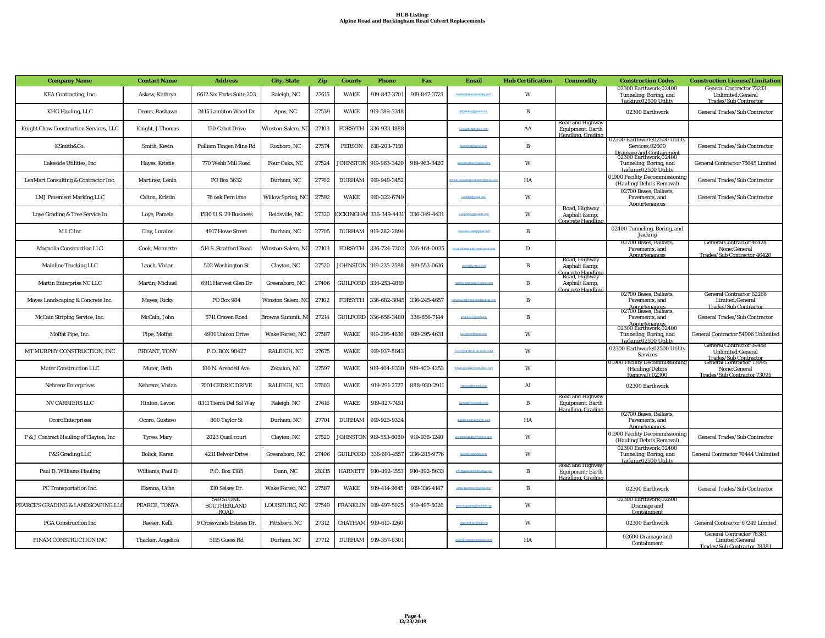| <b>Company Name</b>                    | <b>Contact Name</b> | <b>Address</b>                                 | <b>City, State</b>       | Zip   | <b>County</b>    | <b>Phone</b>          | Fax          | Email                        | <b>Hub Certification</b> | <b>Commodity</b>                                          | <b>Construction Codes</b>                                                                            | <b>Construction License/Limitation</b>                                                                    |
|----------------------------------------|---------------------|------------------------------------------------|--------------------------|-------|------------------|-----------------------|--------------|------------------------------|--------------------------|-----------------------------------------------------------|------------------------------------------------------------------------------------------------------|-----------------------------------------------------------------------------------------------------------|
| <b>KEA Contracting, Inc.</b>           | Askew, Kathryn      | 6612 Six Forks Suite 203                       | Raleigh, NC              | 27615 | WAKE             | 919-847-3701          | 919-847-3721 |                              | W                        |                                                           | 02300 Earthwork:02400<br>Tunneling, Boring, and<br>Jacking:02500 Utility                             | <b>General Contractor 73213</b><br>Unlimited;General<br><b>Trades/Sub Contractor</b>                      |
| KHG Hauling, LLC                       | Deans, Rashawn      | 2415 Lambton Wood Dr                           | Apex, NC                 | 27539 | WAKE             | 919-589-3348          |              |                              | B                        |                                                           | 02300 Earthwork                                                                                      | <b>General Trades/Sub Contractor</b>                                                                      |
| Knight Chow Construction Services, LLC | Knight, J Thomas    | 130 Cabot Drive                                | Winston-Salem, N         | 27103 | <b>FORSYTH</b>   | 336-933-1888          |              | Elsa RKnightChow.com         | AA                       | Road and Highway<br>Equipment: Earth<br>Handling, Grading |                                                                                                      |                                                                                                           |
| KSmith&Co.                             | Smith, Kevin        | <b>Pulliam Tingen Mine Rd</b>                  | Roxboro, NC              | 27574 | <b>PERSON</b>    | 618-203-7158          |              | kksmith34@gmail.com          | $\, {\bf B}$             |                                                           | 02300 Earthwork;02500 Utility<br>Services:02600                                                      | General Trades/Sub Contractor                                                                             |
| Lakeside Utilities. Inc                | Hayes, Kristie      | 770 Webb Mill Road                             | Four Oaks, NC            | 27524 | <b>OHNSTON</b>   | 919-963-3420          | 919-963-3420 | lakesideutilities@gmail.com  | W                        |                                                           | Drainage and Containment<br>02300 Earthwork;02400<br>Tunneling, Boring, and<br>Jacking:02500 Utility | <b>General Contractor 75645 Limited</b>                                                                   |
| LenMart Consulting & Contractor Inc.   | Martinez, Lenin     | PO Box 3632                                    | Durham, NC               | 27702 | <b>DURHAM</b>    | 919-949-3452          |              |                              | HA                       |                                                           | 01900 Facility Decommissioning<br>(Hauling/Debris Removal)                                           | General Trades/Sub Contractor                                                                             |
| <b>LMJ Pavement Marking, LLC</b>       | Calton, Kristin     | 76 oak Fern lane                               | <b>Willow Spring, NC</b> | 27592 | WAKE             | 910-322-6749          |              | paintipo@gmail.com           | W                        |                                                           | 02700 Bases, Ballasts,<br>Pavements, and<br>Annurtenances                                            | <b>General Trades/Sub Contractor</b>                                                                      |
| Loye Grading & Tree Service, In        | Loye, Pamela        | 1580 U.S. 29 Business                          | Reidsville, NC           | 27320 | <b>OCKINGHAM</b> | 336-349-4431          | 336-349-4431 |                              | W                        | Road, Highway<br>Asphalt &<br><b>Concrete Handlins</b>    |                                                                                                      |                                                                                                           |
| M.I.C Inc                              | Clay, Loraine       | 4917 Howe Street                               | Durham, NC               | 27705 | <b>DURHAM</b>    | 919-282-2894          |              | mayoassistant@gmail.com      | B                        |                                                           | 02400 Tunneling, Boring, and<br>Jacking                                                              |                                                                                                           |
| <b>Magnolia Construction LLC</b>       | Cook, Monnette      | 514 S. Stratford Road                          | Vinston-Salem, N         | 27103 | <b>FORSYTH</b>   | 336-724-7202          | 336-464-0035 |                              | $\mathbf D$              |                                                           | 02700 Bases, Ballasts,<br>Pavements, and<br>Appurtenance                                             | <b>General Contractor 46428</b><br>None;General<br>Trades/Sub Contractor 46428                            |
| Mainline Trucking LLC                  | Leach, Vivian       | 502 Washington St                              | Clayton, NC              | 27520 | <b>JOHNSTON</b>  | 919-235-2588          | 919-553-0616 | vleach@vahoo.com             | B                        | Road, Highway<br>Asphalt &<br>Concrete Handling           |                                                                                                      |                                                                                                           |
| Martin Enterprise NC LLC               | Martin, Michael     | 6911 Harvest Glen Dr                           | Greensboro, NC           | 27406 |                  | GUILFORD 336-253-4810 |              |                              | B                        | Road, Highway<br>Asphalt &<br><b>Concrete Handling</b>    |                                                                                                      |                                                                                                           |
| Mayes Landscaping & Concrete Inc.      | Mayes, Ricky        | PO Box 984                                     | Winston Salem, NO        | 27102 | <b>FORSYTH</b>   | 336-682-3845          | 336-245-4657 |                              | B                        |                                                           | 02700 Bases, Ballasts,<br>Pavements, and                                                             | <b>General Contractor 62266</b><br>Limited; General<br><b>Trades/Sub Contractor</b>                       |
| McCain Striping Service, Inc.          | McCain, John        | 5711 Craven Road                               | Browns Summit, N         | 27214 | GUILFORD         | 336-656-3480          | 336-656-7144 |                              | B                        |                                                           | Appurtenances<br>02700 Bases, Ballasts,<br>Pavements, and                                            | General Trades/Sub Contractor                                                                             |
| Moffat Pipe, Inc.                      | Pipe, Moffat        | 4901 Unicon Drive                              | Wake Forest, NC          | 27587 | <b>WAKE</b>      | 919-295-4630          | 919-295-4631 | bids@moffatpipe.com          | W                        |                                                           | Appurtenances<br>02300 Earthwork;02400<br>Tunneling, Boring, and<br>Jacking:02500 Utility            | General Contractor 54906 Unlimited                                                                        |
| MT MURPHY CONSTRUCTION, INC            | <b>BRYANT, TONY</b> | P.O. BOX 90427                                 | RALEIGH, NC              | 27675 | WAKE             | 919-937-8643          |              | TONY@MTMURPHYINC.COM         | W                        |                                                           | 02300 Earthwork;02500 Utility<br>Services                                                            | <b>General Contractor 39458</b><br>Unlimited;General<br>Trades/Sub Contractor<br>General Contractor 73095 |
| <b>Muter Construction LLC</b>          | Muter. Beth         | 100 N. Arendell Ave.                           | Zebulon, NC              | 27597 | <b>WAKE</b>      | 919-404-8330          | 919-400-4253 | bmuter@muterconstructio      | W                        |                                                           | 01900 Facility Decommissioning<br>(Hauling/Debris<br>Removal):02300                                  | None:General<br>Trades/Sub Contractor 73095                                                               |
| <b>Nehrenz Enterprises</b>             | Nehrenz, Vivian     | 7001 CEDRIC DRIVE                              | RALEIGH, NC              | 27603 | <b>WAKE</b>      | 919-291-2727          | 888-930-2911 | nehrenz@                     | AI                       |                                                           | 02300 Earthwork                                                                                      |                                                                                                           |
| <b>NV CARRIERS LLC</b>                 | Hinton, Levon       | 8311 Tierra Del Sol Way                        | Raleigh, NC              | 27616 | WAKE             | 919-827-7451          |              | contact@nycarriers.com       | B                        | Road and Highway<br>Equipment: Earth<br>Handling, Grading |                                                                                                      |                                                                                                           |
| OcoroEnterprises                       | Ocoro, Gustavo      | 800 Taylor St                                  | Durham, NC               | 27701 | <b>DURHAM</b>    | 919-923-9324          |              |                              | HA                       |                                                           | 02700 Bases, Ballasts,<br>Pavements, and<br>Annurtenance                                             |                                                                                                           |
| P & J Contract Hauling of Clayton, Inc | Tyree, Mary         | 2023 Quail court                               | Clayton, NC              | 27520 | JOHNSTON         | 919-553-6080          | 919-938-1240 | pjcontracthauling97@nc.m.com | W                        |                                                           | 01900 Facility Decommissioning<br>(Hauling/Debris Removal)                                           | <b>General Trades/Sub Contractor</b>                                                                      |
| P&S Grading LLC                        | Bolick, Karen       | 4211 Belvoir Drive                             | Greensboro, NC           | 27406 | <b>GUILFORD</b>  | 336-601-4557          | 336-285-9776 | karen@psgrading.com          | W                        |                                                           | 02300 Earthwork:02400<br>Tunneling, Boring, and<br>Jacking:02500 Utility                             | General Contractor 70444 Unlimited                                                                        |
| Paul D. Williams Hauling               | Williams, Paul D    | P.O. Box 1385                                  | Dunn, NC                 | 28335 | <b>HARNETT</b>   | 910-892-1553          | 910-892-8633 | info@paulwilliamshauling.com | $\, {\bf B}$             | Road and Highway<br>Equipment: Earth<br>Handling, Grading |                                                                                                      |                                                                                                           |
| PC Transportation Inc.                 | Ekenna, Uche        | 130 Selsey Dr.                                 | Wake Forest, NC          | 27587 | <b>WAKE</b>      | 919-414-9645          | 919-336-4147 |                              | $\mathbf{R}$             |                                                           | 02300 Earthwork                                                                                      | <b>General Trades/Sub Contractor</b>                                                                      |
| PEARCE'S GRADING & LANDSCAPING,LLO     | PEARCE, TONYA       | 549 STONE<br><b>SOUTHERLAND</b><br><b>ROAD</b> | LOUISBURG, NC            | 27549 | <b>FRANKLIN</b>  | 919-497-5025          | 919-497-5026 |                              | W                        |                                                           | 02300 Earthwork:02600<br>Drainage and<br>Containment                                                 |                                                                                                           |
| <b>PGA Construction Inc</b>            | Reeser, Kelli       | 9 Crosswinds Estates Dr.                       | Pittsboro, NC            | 27312 | CHATHAM          | 919-610-1260          |              |                              | W                        |                                                           | 02300 Earthwork                                                                                      | General Contractor 67249 Limited                                                                          |
| PINAM CONSTRUCTION INC                 | Thacker, Angelica   | 5115 Guess Rd                                  | Durham, NC               | 27712 | <b>DURHAM</b>    | 919-357-8301          |              | angle @pinamconstruction.com | HA                       |                                                           | 02600 Drainage and<br>Containment                                                                    | <b>General Contractor 78381</b><br>Limited; General<br>Trades/Sub Contractor 78381                        |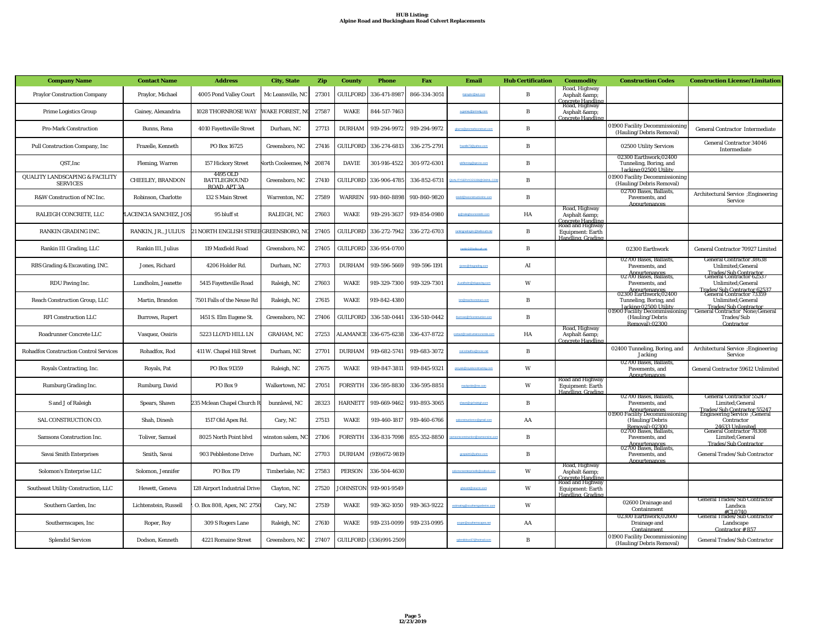| <b>Company Name</b>                                          | <b>Contact Name</b>     | <b>Address</b>                                  | <b>City, State</b>        | Zip   | <b>County</b>   | <b>Phone</b>           | Fax          | <b>Email</b>                      | <b>Hub Certification</b> | <b>Commodity</b>                                                           | <b>Construction Codes</b>                                                                   | <b>Construction License/Limitation</b>                                                                             |
|--------------------------------------------------------------|-------------------------|-------------------------------------------------|---------------------------|-------|-----------------|------------------------|--------------|-----------------------------------|--------------------------|----------------------------------------------------------------------------|---------------------------------------------------------------------------------------------|--------------------------------------------------------------------------------------------------------------------|
| <b>Praylor Construction Company</b>                          | Praylor, Michael        | 4005 Pond Valley Court                          | Mc Leansville, NC         | 27301 | <b>GUILFORD</b> | 336-471-8987           | 866-334-3051 | moravior@aoLoom                   | $\bf{B}$                 | Road, Highway<br>Asphalt &<br>Concrete Handling<br>Road, Highway           |                                                                                             |                                                                                                                    |
| <b>Prime Logistics Group</b>                                 | Gainey, Alexandria      | 1028 THORNROSE WAY                              | <b>VAKE FOREST. N</b>     | 27587 | <b>WAKE</b>     | 844-517-7463           |              |                                   | $\mathbf{B}$             | Asphalt &<br>Concrete Handlins                                             |                                                                                             |                                                                                                                    |
| <b>Pro-Mark Construction</b>                                 | Bunns, Rena             | <b>4010 Fayetteville Street</b>                 | Durham, NC                | 27713 | <b>DURHAM</b>   | 919-294-9972           | 919-294-9972 | gburns@promarkconstruct.          | B                        |                                                                            | 01900 Facility Decommissioning<br>(Hauling/Debris Removal)                                  | <b>General Contractor Intermediate</b>                                                                             |
| Pull Construction Company, Inc.                              | Frazelle, Kenneth       | PO Box 16725                                    | Greensboro, NC            | 27416 | <b>GUILFORD</b> | 336-274-6813           | 336-275-2791 | frazele73@yahoo.com               | $\, {\bf B}$             |                                                                            | 02500 Utility Services                                                                      | <b>General Contractor 34046</b><br>Intermediate                                                                    |
| QST, Inc                                                     | <b>Fleming, Warren</b>  | 157 Hickory Street                              | <b>Jorth Cooleemee, N</b> | 20874 | <b>DAVIE</b>    | 301-916-4522           | 301-972-6301 | widteming@qst-inc.com             | B                        |                                                                            | 02300 Earthwork;02400<br>Tunneling, Boring, and<br>Jacking:02500 Utility                    |                                                                                                                    |
| <b>QUALITY LANDSCAPING &amp; FACILITY</b><br><b>SERVICES</b> | <b>CHEELEY, BRANDON</b> | 4495 OLD<br><b>BATTLEGROUND</b><br>ROAD, APT 3A | Greensboro, NC            | 27410 | <b>GUILFORD</b> | 336-906-4785           | 336-852-6731 |                                   | $\bf{B}$                 |                                                                            | 01900 Facility Decommissioning<br>(Hauling/Debris Removal)                                  |                                                                                                                    |
| R&W Construction of NC Inc.                                  | Robinson, Charlotte     | 132 S Main Street                               | Warrenton, NC             | 27589 | <b>WARREN</b>   | 910-860-8898           | 910-860-9820 |                                   | $\mathbf B$              |                                                                            | 02700 Bases, Ballasts,<br>Pavements, and<br>Annurtenances                                   | Architectural Service ; Engineering<br>Service                                                                     |
| RALEIGH CONCRETE, LLC                                        | ACENCIA SANCHEZ, JOS    | 95 bluff st                                     | RALEIGH, NC               | 27603 | <b>WAKE</b>     | 919-291-3637           | 919-854-0980 | <b>Infinisiono</b>                | HA                       | Road, Highway<br>Asphalt &<br><u> Concrete Handling</u>                    |                                                                                             |                                                                                                                    |
| RANKIN GRADING INC.                                          | RANKIN, JR., JULIUS     | 21 NORTH ENGLISH STREEGREENSBORO, N             |                           | 27405 | <b>GUILFORD</b> | 336-272-7942           | 336-272-6703 | rankingradinging@belsouth.net     | $\bf{B}$                 | Road and Highway<br><b>Equipment: Earth</b><br>Handling Grading            |                                                                                             |                                                                                                                    |
| Rankin III Grading, LLC                                      | Rankin III, Julius      | 119 Maxfield Road                               | Greensboro, NC            | 27405 |                 | GUILFORD 336-954-0700  |              | jrankin3@bellsouth.net            | $\bf{B}$                 |                                                                            | 02300 Earthwork                                                                             | General Contractor 70927 Limited                                                                                   |
| RBS Grading & Excavating, INC.                               | Jones, Richard          | 4206 Holder Rd.                                 | Durham, NC                | 27703 | <b>DURHAM</b>   | 919-596-5669           | 919-596-1191 | rjones@rbsgrading.com             | AI                       |                                                                            | 02700 Bases, Ballasts.<br>Pavements, and<br>Annurtenances<br>02700 Bases, Ballasts,         | <b>General Contractor 38638</b><br><b>Unlimited:General</b><br>Trades/Sub Contractor<br>General Contractor 62537   |
| RDU Paving Inc.                                              | Lundholm, Jeanette      | 5415 Fayetteville Road                          | Raleigh, NC               | 27603 | <b>WAKE</b>     | 919-329-7300           | 919-329-7301 |                                   | W                        |                                                                            | Pavements, and<br>Appurtenances                                                             | Unlimited; General<br>Trades/Sub Contractor 62537                                                                  |
| Reach Construction Group, LLC                                | Martin, Brandon         | 7501 Falls of the Neuse Rd                      | Raleigh, NC               | 27615 | <b>WAKE</b>     | 919-842-4380           |              | bm R reachconstruct.com           | $\mathbf{B}$             |                                                                            | 02300 Earthwork;02400<br>Tunneling, Boring, and<br>Jacking:02500 Utility                    | <b>General Contractor 73359</b><br>Unlimited; General<br>Trades/Sub Contractor<br>General Contractor None;General  |
| <b>RFI Construction LLC</b>                                  | <b>Burrows</b> , Rupert | 1451 S. Elm Eugene St.                          | Greensboro, NC            | 27406 | <b>GUILFORD</b> | 336-510-0441           | 336-510-0442 |                                   | B                        |                                                                            | 01900 Facility Decommissioning<br>(Hauling/Debris<br>Removal):02300                         | Trades/Sub<br>Contractor                                                                                           |
| Roadrunner Concrete LLC                                      | Vasquez, Ossiris        | 5223 LLOYD HILL LN                              | <b>GRAHAM, NC</b>         | 27253 |                 | LAMANCE 336-675-6238   | 336-437-8722 | contact@s                         | HA                       | Road, Highway<br>Asphalt &<br>Concrete Handlin                             |                                                                                             |                                                                                                                    |
| <b>Rohadfox Construction Control Services</b>                | Rohadfox, Rod           | 411 W. Chapel Hill Street                       | Durham, NC                | 27701 | <b>DURHAM</b>   | 919-682-5741           | 919-683-3072 | rod.rohadfox@rccsc.no             | $\mathbf B$              |                                                                            | 02400 Tunneling, Boring, and<br>Jacking                                                     | Architectural Service ; Engineering<br>Service                                                                     |
| Royals Contracting, Inc.                                     | Royals, Pat             | PO Box 91359                                    | Raleigh, NC               | 27675 | <b>WAKE</b>     | 919-847-3811           | 919-845-9321 | prov                              | W                        |                                                                            | 02700 Bases, Ballasts,<br>Pavements, and<br>Annurtenances                                   | General Contractor 59612 Unlimited                                                                                 |
| Rumburg Grading Inc.                                         | Rumburg, David          | PO Box 9                                        | Walkertown, NC            | 27051 | <b>FORSYTH</b>  | 336-595-8830           | 336-595-8851 |                                   | W                        | Road and Highway<br>Equipment: Earth<br>Handling, Grading                  |                                                                                             |                                                                                                                    |
| S and J of Raleigh                                           | Spears, Shawn           | 235 Mclean Chapel Church R                      | bunnlevel, NC             | 28323 | HARNETT         | 919-669-9462           | 910-893-3065 |                                   | B                        |                                                                            | 02700 Bases, Ballasts,<br>Pavements, and<br>Appurtenances<br>01900 Facility Decommissioning | <b>General Contractor 55247</b><br>Limited; General<br>Trades/Sub Contractor 55247<br>Engineering Service ;General |
| SAL CONSTRUCTION CO.                                         | Shah, Dinesh            | 1517 Old Apex Rd.                               | Cary, NC                  | 27513 | <b>WAKE</b>     | 919-460-1817           | 919-460-6766 |                                   | AA                       |                                                                            | (Hauling/Debris<br>Removal):02300<br>02700 Bases, Ballasts,                                 | Contractor<br>24633 Unlimited<br>General Contractor 78308                                                          |
| Samsons Construction Inc.                                    | Toliver, Samuel         | 8025 North Point blvd                           | vinston salem, NC         | 27106 | FORSYTH         | 336-831-7098           | 855-352-8850 |                                   | $\mathbf{B}$             |                                                                            | Pavements, and<br>Appurtenances                                                             | Limited; General<br><b>Trades/Sub Contractor</b>                                                                   |
| Savai Smith Enterprises                                      | Smith, Savai            | 903 Pebblestone Drive                           | Durham, NC                | 27703 | <b>DURHAM</b>   | (919)672-9819          |              | gcspairt1@yahoo.com               | $\mathbf B$              |                                                                            | 2700 Bases, Ballasts,<br>Pavements, and<br><b>Annurtenance</b>                              | <b>General Trades/Sub Contractor</b>                                                                               |
| Solomon's Enterprise LLC                                     | Solomon, Jennifer       | <b>PO Box 179</b>                               | Timberlake, NC            | 27583 | <b>PERSON</b>   | 336-504-4630           |              | solomorsenterprisello@outlook.con | W                        | Road, Highway<br>Asphalt &<br><b>Concrete Handling</b><br>Road and Highway |                                                                                             |                                                                                                                    |
| Southeast Utility Construction, LLC                          | Hewett, Geneva          | 128 Airport Industrial Drive                    | Clayton, NC               | 27520 | <b>OHNSTON</b>  | 919-901-9549           |              |                                   | W                        | <b>Equipment: Earth</b><br>Handling, Grading                               |                                                                                             |                                                                                                                    |
| Southern Garden, Inc                                         | Lichtenstein, Russell   | O. Box 808, Apex, NC 2750                       | Cary, NC                  | 27519 | <b>WAKE</b>     | 919-362-1050           | 919-363-9222 |                                   | W                        |                                                                            | 02600 Drainage and<br>Containment                                                           | General Trades/Sub Contractor<br>Landsca<br>#CL0740                                                                |
| Southernscapes, Inc.                                         | Roper, Roy              | 309 S Rogers Lane                               | Raleigh, NC               | 27610 | <b>WAKE</b>     | 919-231-0099           | 919-231-0995 | sroper@southernscapes.net         | AA                       |                                                                            | 02300 Earthwork;02600<br>Drainage and<br>Containment                                        | General Trades/Sub Contractor<br>Landscape<br>Contractor $#857$                                                    |
| <b>Splendid Services</b>                                     | Dodson, Kenneth         | <b>4221 Romaine Street</b>                      | Greensboro, NC            | 27407 |                 | GUILFORD (336)991-2509 |              |                                   | $\mathbf B$              |                                                                            | 01900 Facility Decommissioning<br>(Hauling/Debris Removal)                                  | General Trades/Sub Contractor                                                                                      |